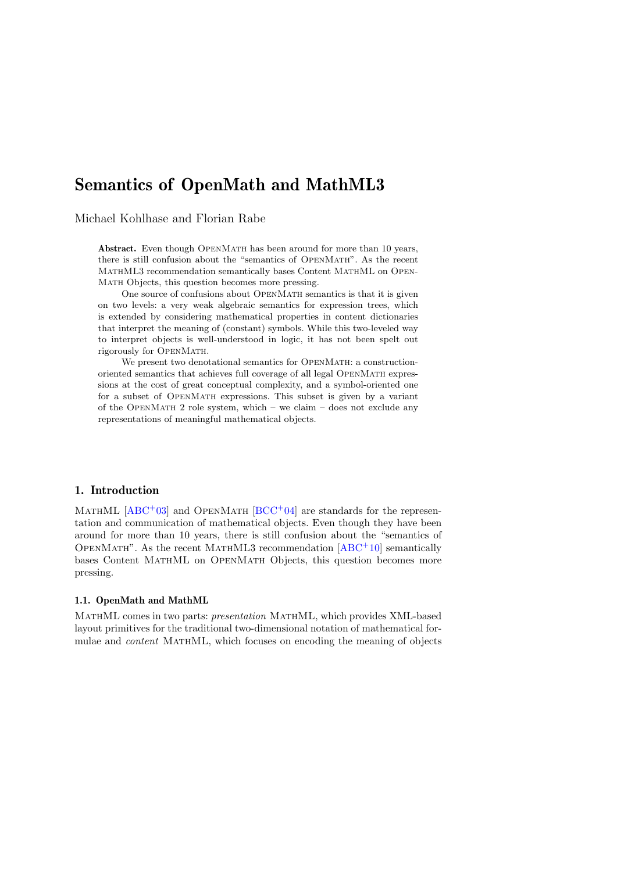# Semantics of OpenMath and MathML3

Michael Kohlhase and Florian Rabe

Abstract. Even though OPENMATH has been around for more than 10 years, there is still confusion about the "semantics of OpenMath". As the recent MATHML3 recommendation semantically bases Content MATHML on OPEN-Math Objects, this question becomes more pressing.

One source of confusions about OpenMath semantics is that it is given on two levels: a very weak algebraic semantics for expression trees, which is extended by considering mathematical properties in content dictionaries that interpret the meaning of (constant) symbols. While this two-leveled way to interpret objects is well-understood in logic, it has not been spelt out rigorously for OpenMath.

We present two denotational semantics for OPENMATH: a constructionoriented semantics that achieves full coverage of all legal OpenMath expressions at the cost of great conceptual complexity, and a symbol-oriented one for a subset of OpenMath expressions. This subset is given by a variant of the OPENMATH 2 role system, which – we claim – does not exclude any representations of meaningful mathematical objects.

## 1. Introduction

MATHML  $[ABC^+03]$  $[ABC^+03]$  and OPENMATH  $[BCC^+04]$  $[BCC^+04]$  are standards for the representation and communication of mathematical objects. Even though they have been around for more than 10 years, there is still confusion about the "semantics of OPENMATH". As the recent MATHML3 recommendation  $[ABC^+10]$  $[ABC^+10]$  semantically bases Content MathML on OpenMath Objects, this question becomes more pressing.

#### 1.1. OpenMath and MathML

MathML comes in two parts: presentation MathML, which provides XML-based layout primitives for the traditional two-dimensional notation of mathematical formulae and *content* MATHML, which focuses on encoding the meaning of objects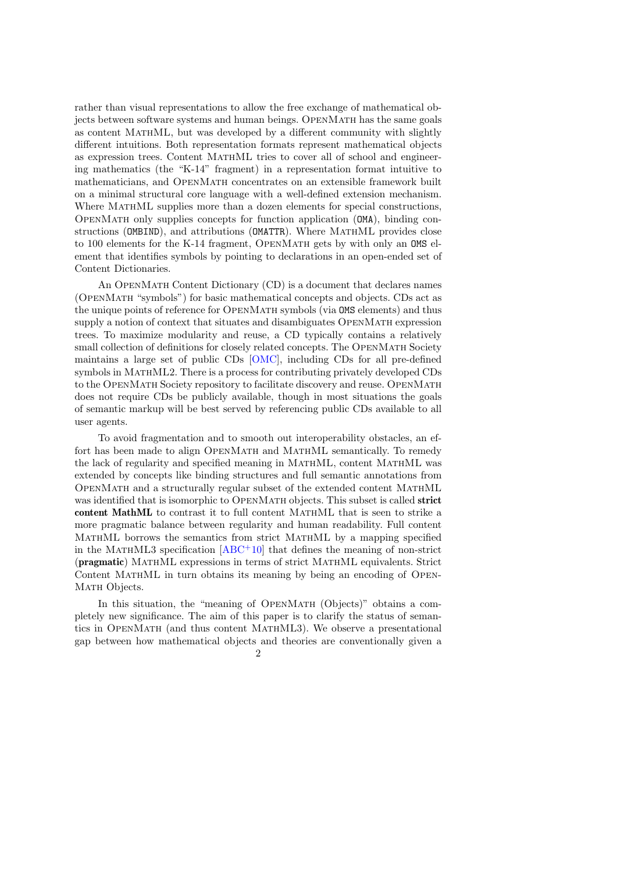rather than visual representations to allow the free exchange of mathematical objects between software systems and human beings. OpenMath has the same goals as content MathML, but was developed by a different community with slightly different intuitions. Both representation formats represent mathematical objects as expression trees. Content MathML tries to cover all of school and engineering mathematics (the "K-14" fragment) in a representation format intuitive to mathematicians, and OpenMath concentrates on an extensible framework built on a minimal structural core language with a well-defined extension mechanism. Where MATHML supplies more than a dozen elements for special constructions, OpenMath only supplies concepts for function application (OMA), binding constructions (OMBIND), and attributions (OMATTR). Where MATHML provides close to 100 elements for the K-14 fragment, OPENMATH gets by with only an OMS element that identifies symbols by pointing to declarations in an open-ended set of Content Dictionaries.

An OpenMath Content Dictionary (CD) is a document that declares names (OpenMath "symbols") for basic mathematical concepts and objects. CDs act as the unique points of reference for OpenMath symbols (via OMS elements) and thus supply a notion of context that situates and disambiguates OPENMATH expression trees. To maximize modularity and reuse, a CD typically contains a relatively small collection of definitions for closely related concepts. The OPENMATH Society maintains a large set of public CDs [\[OMC\]](#page-28-0), including CDs for all pre-defined symbols in MathML2. There is a process for contributing privately developed CDs to the OPENMATH Society repository to facilitate discovery and reuse. OPENMATH does not require CDs be publicly available, though in most situations the goals of semantic markup will be best served by referencing public CDs available to all user agents.

To avoid fragmentation and to smooth out interoperability obstacles, an effort has been made to align OpenMath and MathML semantically. To remedy the lack of regularity and specified meaning in MathML, content MathML was extended by concepts like binding structures and full semantic annotations from OpenMath and a structurally regular subset of the extended content MathML was identified that is isomorphic to OPENMATH objects. This subset is called **strict** content MathML to contrast it to full content MATHML that is seen to strike a more pragmatic balance between regularity and human readability. Full content MathML borrows the semantics from strict MathML by a mapping specified in the MATHML3 specification  $[ABC+10]$  $[ABC+10]$  that defines the meaning of non-strict (pragmatic) MathML expressions in terms of strict MathML equivalents. Strict Content MATHML in turn obtains its meaning by being an encoding of OPEN-MATH Objects.

In this situation, the "meaning of OPENMATH (Objects)" obtains a completely new significance. The aim of this paper is to clarify the status of semantics in OpenMath (and thus content MathML3). We observe a presentational gap between how mathematical objects and theories are conventionally given a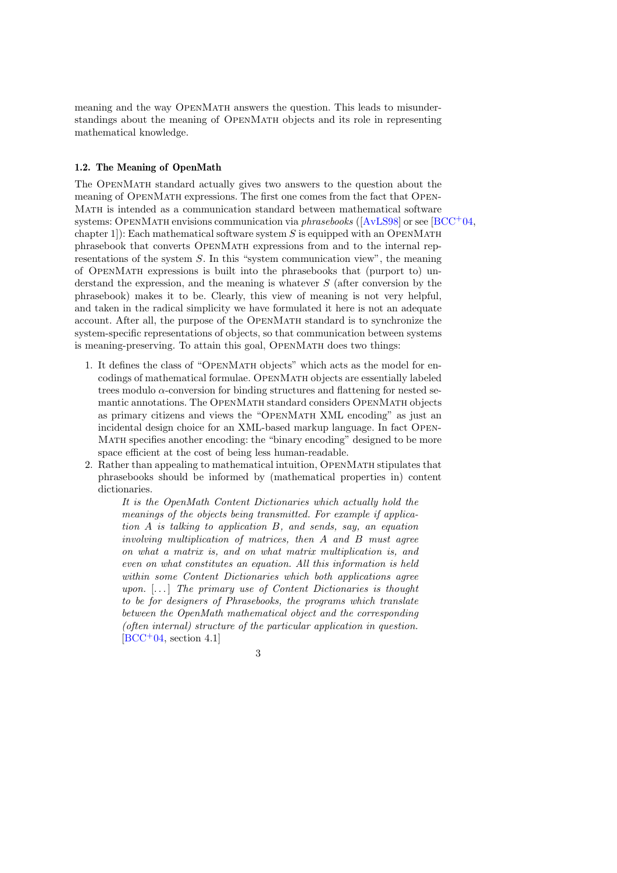meaning and the way OPENMATH answers the question. This leads to misunderstandings about the meaning of OpenMath objects and its role in representing mathematical knowledge.

## <span id="page-2-0"></span>1.2. The Meaning of OpenMath

The OpenMath standard actually gives two answers to the question about the meaning of OpenMath expressions. The first one comes from the fact that Open-Math is intended as a communication standard between mathematical software systems: OPENMATH envisions communication via *phrasebooks* ( $[AvLS98]$  or see [\[BCC](#page-27-1)<sup>+</sup>04, chapter 1]): Each mathematical software system  $S$  is equipped with an OPENMATH phrasebook that converts OpenMath expressions from and to the internal representations of the system S. In this "system communication view", the meaning of OpenMath expressions is built into the phrasebooks that (purport to) understand the expression, and the meaning is whatever S (after conversion by the phrasebook) makes it to be. Clearly, this view of meaning is not very helpful, and taken in the radical simplicity we have formulated it here is not an adequate account. After all, the purpose of the OPENMATH standard is to synchronize the system-specific representations of objects, so that communication between systems is meaning-preserving. To attain this goal, OPENMATH does two things:

- 1. It defines the class of "OpenMath objects" which acts as the model for encodings of mathematical formulae. OpenMath objects are essentially labeled trees modulo  $\alpha$ -conversion for binding structures and flattening for nested semantic annotations. The OpenMath standard considers OpenMath objects as primary citizens and views the "OpenMath XML encoding" as just an incidental design choice for an XML-based markup language. In fact Open-Math specifies another encoding: the "binary encoding" designed to be more space efficient at the cost of being less human-readable.
- 2. Rather than appealing to mathematical intuition, OpenMath stipulates that phrasebooks should be informed by (mathematical properties in) content dictionaries.

It is the OpenMath Content Dictionaries which actually hold the meanings of the objects being transmitted. For example if application A is talking to application B, and sends, say, an equation involving multiplication of matrices, then A and B must agree on what a matrix is, and on what matrix multiplication is, and even on what constitutes an equation. All this information is held within some Content Dictionaries which both applications agree upon.  $[...]$  The primary use of Content Dictionaries is thought to be for designers of Phrasebooks, the programs which translate between the OpenMath mathematical object and the corresponding (often internal) structure of the particular application in question.  $[BCC<sup>+</sup>04, section 4.1]$  $[BCC<sup>+</sup>04, section 4.1]$ 

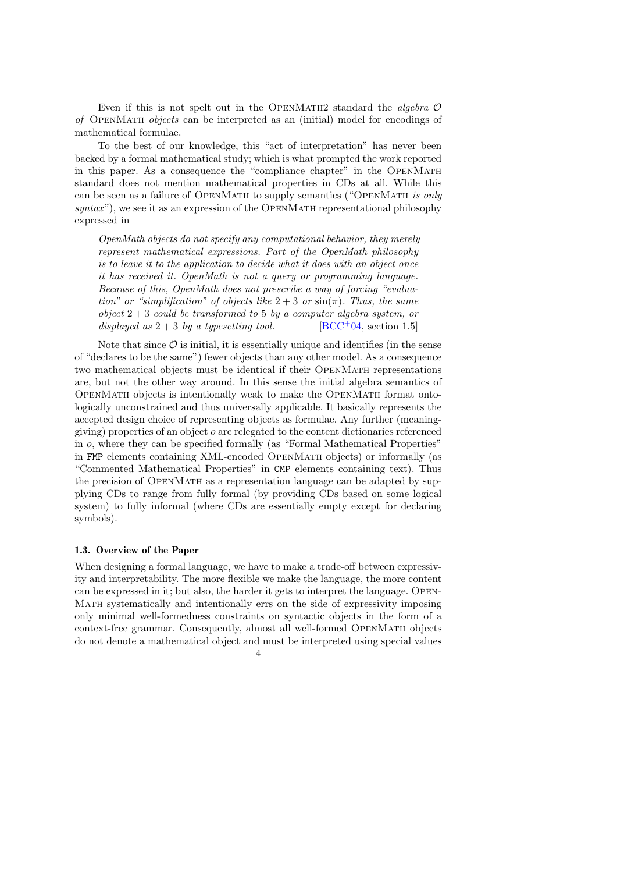Even if this is not spelt out in the OPENMATH2 standard the *algebra*  $O$ of OpenMath objects can be interpreted as an (initial) model for encodings of mathematical formulae.

To the best of our knowledge, this "act of interpretation" has never been backed by a formal mathematical study; which is what prompted the work reported in this paper. As a consequence the "compliance chapter" in the OpenMath standard does not mention mathematical properties in CDs at all. While this can be seen as a failure of OPENMATH to supply semantics ("OPENMATH is only  $systax$ "), we see it as an expression of the OPENMATH representational philosophy expressed in

OpenMath objects do not specify any computational behavior, they merely represent mathematical expressions. Part of the OpenMath philosophy is to leave it to the application to decide what it does with an object once it has received it. OpenMath is not a query or programming language. Because of this, OpenMath does not prescribe a way of forcing "evaluation" or "simplification" of objects like  $2 + 3$  or  $\sin(\pi)$ . Thus, the same object  $2+3$  could be transformed to 5 by a computer algebra system, or displayed as  $2+3$  by a typesetting tool. [\[BCC](#page-27-1)<sup>+</sup>04, section 1.5]

Note that since  $\mathcal O$  is initial, it is essentially unique and identifies (in the sense of "declares to be the same") fewer objects than any other model. As a consequence two mathematical objects must be identical if their OpenMath representations are, but not the other way around. In this sense the initial algebra semantics of OPENMATH objects is intentionally weak to make the OPENMATH format ontologically unconstrained and thus universally applicable. It basically represents the accepted design choice of representing objects as formulae. Any further (meaninggiving) properties of an object  $o$  are relegated to the content dictionaries referenced in o, where they can be specified formally (as "Formal Mathematical Properties" in FMP elements containing XML-encoded OpenMath objects) or informally (as "Commented Mathematical Properties" in CMP elements containing text). Thus the precision of OPENMATH as a representation language can be adapted by supplying CDs to range from fully formal (by providing CDs based on some logical system) to fully informal (where CDs are essentially empty except for declaring symbols).

# 1.3. Overview of the Paper

When designing a formal language, we have to make a trade-off between expressivity and interpretability. The more flexible we make the language, the more content can be expressed in it; but also, the harder it gets to interpret the language. Open-Math systematically and intentionally errs on the side of expressivity imposing only minimal well-formedness constraints on syntactic objects in the form of a context-free grammar. Consequently, almost all well-formed OpenMath objects do not denote a mathematical object and must be interpreted using special values 4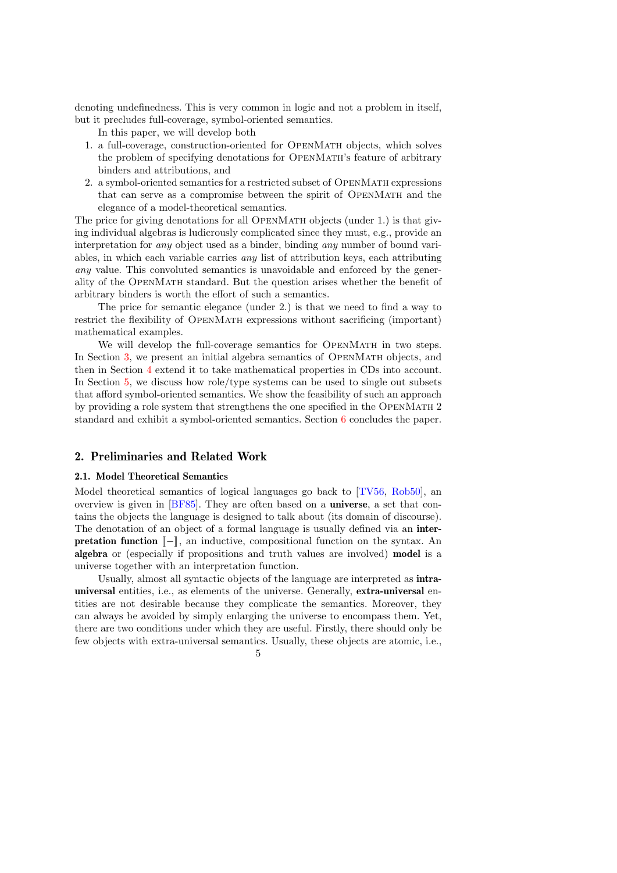denoting undefinedness. This is very common in logic and not a problem in itself, but it precludes full-coverage, symbol-oriented semantics.

In this paper, we will develop both

- 1. a full-coverage, construction-oriented for OpenMath objects, which solves the problem of specifying denotations for OPENMATH's feature of arbitrary binders and attributions, and
- 2. a symbol-oriented semantics for a restricted subset of OpenMath expressions that can serve as a compromise between the spirit of OpenMath and the elegance of a model-theoretical semantics.

The price for giving denotations for all OPENMATH objects (under 1.) is that giving individual algebras is ludicrously complicated since they must, e.g., provide an interpretation for any object used as a binder, binding any number of bound variables, in which each variable carries any list of attribution keys, each attributing any value. This convoluted semantics is unavoidable and enforced by the generality of the OpenMath standard. But the question arises whether the benefit of arbitrary binders is worth the effort of such a semantics.

The price for semantic elegance (under 2.) is that we need to find a way to restrict the flexibility of OpenMath expressions without sacrificing (important) mathematical examples.

We will develop the full-coverage semantics for OPENMATH in two steps. In Section [3,](#page-7-0) we present an initial algebra semantics of OpenMath objects, and then in Section [4](#page-15-0) extend it to take mathematical properties in CDs into account. In Section [5,](#page-21-0) we discuss how role/type systems can be used to single out subsets that afford symbol-oriented semantics. We show the feasibility of such an approach by providing a role system that strengthens the one specified in the OpenMath 2 standard and exhibit a symbol-oriented semantics. Section [6](#page-25-0) concludes the paper.

# 2. Preliminaries and Related Work

## <span id="page-4-0"></span>2.1. Model Theoretical Semantics

Model theoretical semantics of logical languages go back to [\[TV56,](#page-28-1) [Rob50\]](#page-28-2), an overview is given in [\[BF85\]](#page-27-4). They are often based on a universe, a set that contains the objects the language is designed to talk about (its domain of discourse). The denotation of an object of a formal language is usually defined via an inter**pretation function**  $\llbracket - \rrbracket$ , an inductive, compositional function on the syntax. An algebra or (especially if propositions and truth values are involved) model is a universe together with an interpretation function.

Usually, almost all syntactic objects of the language are interpreted as **intra**universal entities, i.e., as elements of the universe. Generally, extra-universal entities are not desirable because they complicate the semantics. Moreover, they can always be avoided by simply enlarging the universe to encompass them. Yet, there are two conditions under which they are useful. Firstly, there should only be few objects with extra-universal semantics. Usually, these objects are atomic, i.e.,

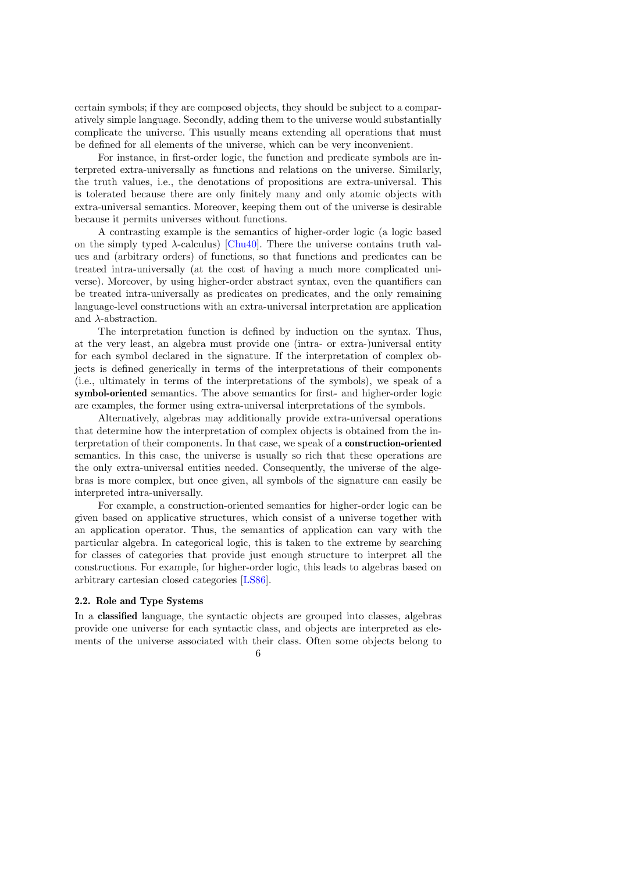certain symbols; if they are composed objects, they should be subject to a comparatively simple language. Secondly, adding them to the universe would substantially complicate the universe. This usually means extending all operations that must be defined for all elements of the universe, which can be very inconvenient.

For instance, in first-order logic, the function and predicate symbols are interpreted extra-universally as functions and relations on the universe. Similarly, the truth values, i.e., the denotations of propositions are extra-universal. This is tolerated because there are only finitely many and only atomic objects with extra-universal semantics. Moreover, keeping them out of the universe is desirable because it permits universes without functions.

A contrasting example is the semantics of higher-order logic (a logic based on the simply typed  $\lambda$ -calculus) [\[Chu40\]](#page-28-3). There the universe contains truth values and (arbitrary orders) of functions, so that functions and predicates can be treated intra-universally (at the cost of having a much more complicated universe). Moreover, by using higher-order abstract syntax, even the quantifiers can be treated intra-universally as predicates on predicates, and the only remaining language-level constructions with an extra-universal interpretation are application and  $\lambda$ -abstraction.

The interpretation function is defined by induction on the syntax. Thus, at the very least, an algebra must provide one (intra- or extra-)universal entity for each symbol declared in the signature. If the interpretation of complex objects is defined generically in terms of the interpretations of their components (i.e., ultimately in terms of the interpretations of the symbols), we speak of a symbol-oriented semantics. The above semantics for first- and higher-order logic are examples, the former using extra-universal interpretations of the symbols.

Alternatively, algebras may additionally provide extra-universal operations that determine how the interpretation of complex objects is obtained from the interpretation of their components. In that case, we speak of a construction-oriented semantics. In this case, the universe is usually so rich that these operations are the only extra-universal entities needed. Consequently, the universe of the algebras is more complex, but once given, all symbols of the signature can easily be interpreted intra-universally.

For example, a construction-oriented semantics for higher-order logic can be given based on applicative structures, which consist of a universe together with an application operator. Thus, the semantics of application can vary with the particular algebra. In categorical logic, this is taken to the extreme by searching for classes of categories that provide just enough structure to interpret all the constructions. For example, for higher-order logic, this leads to algebras based on arbitrary cartesian closed categories [\[LS86\]](#page-28-4).

## 2.2. Role and Type Systems

In a classified language, the syntactic objects are grouped into classes, algebras provide one universe for each syntactic class, and objects are interpreted as elements of the universe associated with their class. Often some objects belong to

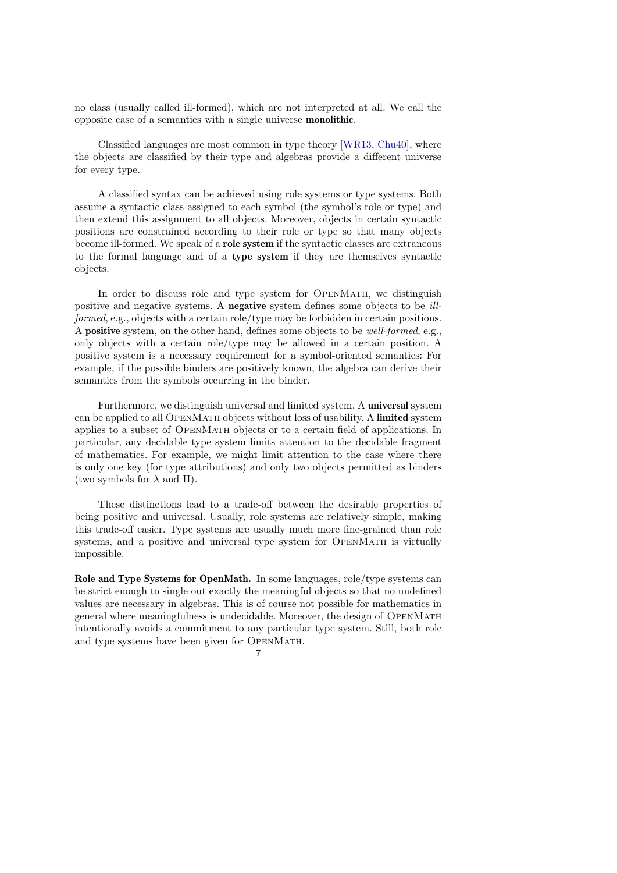no class (usually called ill-formed), which are not interpreted at all. We call the opposite case of a semantics with a single universe monolithic.

Classified languages are most common in type theory [\[WR13,](#page-28-5) [Chu40\]](#page-28-3), where the objects are classified by their type and algebras provide a different universe for every type.

A classified syntax can be achieved using role systems or type systems. Both assume a syntactic class assigned to each symbol (the symbol's role or type) and then extend this assignment to all objects. Moreover, objects in certain syntactic positions are constrained according to their role or type so that many objects become ill-formed. We speak of a role system if the syntactic classes are extraneous to the formal language and of a type system if they are themselves syntactic objects.

In order to discuss role and type system for OpenMath, we distinguish positive and negative systems. A negative system defines some objects to be illformed, e.g., objects with a certain role/type may be forbidden in certain positions. A positive system, on the other hand, defines some objects to be well-formed, e.g., only objects with a certain role/type may be allowed in a certain position. A positive system is a necessary requirement for a symbol-oriented semantics: For example, if the possible binders are positively known, the algebra can derive their semantics from the symbols occurring in the binder.

Furthermore, we distinguish universal and limited system. A universal system can be applied to all OPENMATH objects without loss of usability. A limited system applies to a subset of OpenMath objects or to a certain field of applications. In particular, any decidable type system limits attention to the decidable fragment of mathematics. For example, we might limit attention to the case where there is only one key (for type attributions) and only two objects permitted as binders (two symbols for  $\lambda$  and  $\Pi$ ).

These distinctions lead to a trade-off between the desirable properties of being positive and universal. Usually, role systems are relatively simple, making this trade-off easier. Type systems are usually much more fine-grained than role systems, and a positive and universal type system for OPENMATH is virtually impossible.

Role and Type Systems for OpenMath. In some languages, role/type systems can be strict enough to single out exactly the meaningful objects so that no undefined values are necessary in algebras. This is of course not possible for mathematics in general where meaningfulness is undecidable. Moreover, the design of OpenMath intentionally avoids a commitment to any particular type system. Still, both role and type systems have been given for OpenMath.

<sup>7</sup>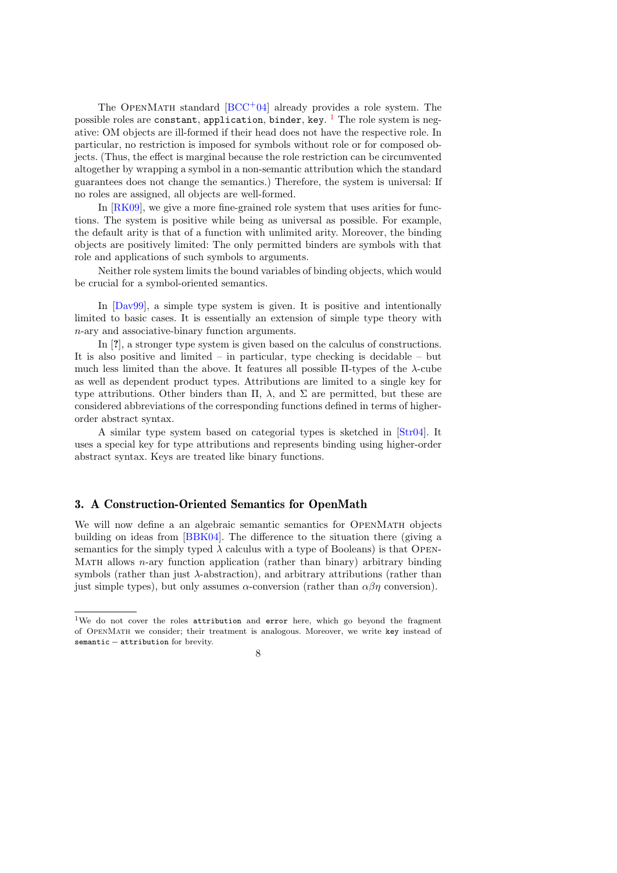The OPENMATH standard  $[BCC^+04]$  $[BCC^+04]$  already provides a role system. The possible roles are constant, application, binder, key. <sup>[1](#page-7-1)</sup> The role system is negative: OM objects are ill-formed if their head does not have the respective role. In particular, no restriction is imposed for symbols without role or for composed objects. (Thus, the effect is marginal because the role restriction can be circumvented altogether by wrapping a symbol in a non-semantic attribution which the standard guarantees does not change the semantics.) Therefore, the system is universal: If no roles are assigned, all objects are well-formed.

In [\[RK09\]](#page-28-6), we give a more fine-grained role system that uses arities for functions. The system is positive while being as universal as possible. For example, the default arity is that of a function with unlimited arity. Moreover, the binding objects are positively limited: The only permitted binders are symbols with that role and applications of such symbols to arguments.

Neither role system limits the bound variables of binding objects, which would be crucial for a symbol-oriented semantics.

In  $[Day99]$ , a simple type system is given. It is positive and intentionally limited to basic cases. It is essentially an extension of simple type theory with n-ary and associative-binary function arguments.

In [?], a stronger type system is given based on the calculus of constructions. It is also positive and limited – in particular, type checking is decidable – but much less limited than the above. It features all possible  $\Pi$ -types of the  $\lambda$ -cube as well as dependent product types. Attributions are limited to a single key for type attributions. Other binders than  $\Pi$ ,  $\lambda$ , and  $\Sigma$  are permitted, but these are considered abbreviations of the corresponding functions defined in terms of higherorder abstract syntax.

A similar type system based on categorial types is sketched in [\[Str04\]](#page-28-8). It uses a special key for type attributions and represents binding using higher-order abstract syntax. Keys are treated like binary functions.

# <span id="page-7-0"></span>3. A Construction-Oriented Semantics for OpenMath

We will now define a an algebraic semantic semantics for OpenMath objects building on ideas from [\[BBK04\]](#page-27-5). The difference to the situation there (giving a semantics for the simply typed  $\lambda$  calculus with a type of Booleans) is that OPEN-Math allows n-ary function application (rather than binary) arbitrary binding symbols (rather than just  $\lambda$ -abstraction), and arbitrary attributions (rather than just simple types), but only assumes  $\alpha$ -conversion (rather than  $\alpha\beta\eta$  conversion).

<span id="page-7-1"></span><sup>&</sup>lt;sup>1</sup>We do not cover the roles attribution and error here, which go beyond the fragment of OpenMath we consider; their treatment is analogous. Moreover, we write key instead of semantic – attribution for brevity.

<sup>8</sup>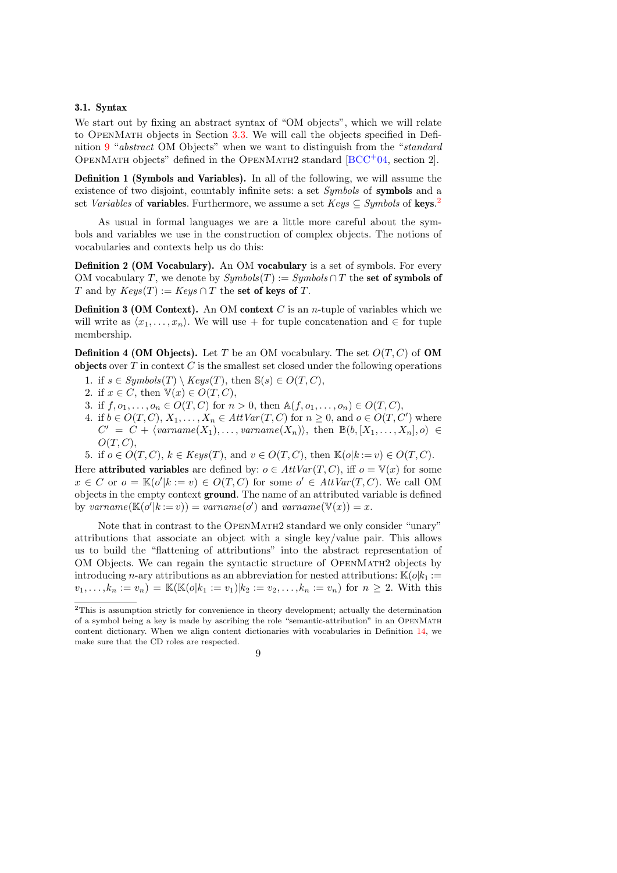## 3.1. Syntax

We start out by fixing an abstract syntax of "OM objects", which we will relate to OpenMath objects in Section [3.3.](#page-14-0) We will call the objects specified in Definition [9](#page-10-0) "abstract OM Objects" when we want to distinguish from the "standard OPENMATH objects" defined in the OPENMATH2 standard  $[BCC<sup>+</sup>04, section 2]$  $[BCC<sup>+</sup>04, section 2]$ .

Definition 1 (Symbols and Variables). In all of the following, we will assume the existence of two disjoint, countably infinite sets: a set Symbols of **symbols** and a set Variables of **variables**. Furthermore, we assume a set  $Keys \subseteq Symbols$  of **keys**.<sup>[2](#page-8-0)</sup>

As usual in formal languages we are a little more careful about the symbols and variables we use in the construction of complex objects. The notions of vocabularies and contexts help us do this:

Definition 2 (OM Vocabulary). An OM vocabulary is a set of symbols. For every OM vocabulary T, we denote by  $Symbols(T) := Symbols \cap T$  the set of symbols of T and by  $Keys(T) := Keys \cap T$  the set of keys of T.

**Definition 3 (OM Context).** An OM context C is an *n*-tuple of variables which we will write as  $\langle x_1, \ldots, x_n \rangle$ . We will use + for tuple concatenation and ∈ for tuple membership.

**Definition 4 (OM Objects).** Let T be an OM vocabulary. The set  $O(T, C)$  of **OM objects** over  $T$  in context  $C$  is the smallest set closed under the following operations

- <span id="page-8-2"></span>1. if  $s \in \mathit{Symbols}(T) \setminus \mathit{Keus}(T)$ , then  $\mathbb{S}(s) \in O(T, C)$ ,
- 2. if  $x \in C$ , then  $\mathbb{V}(x) \in O(T, C)$ ,
- 3. if  $f, o_1, \ldots, o_n \in O(T, C)$  for  $n > 0$ , then  $\mathbb{A}(f, o_1, \ldots, o_n) \in O(T, C)$ ,
- <span id="page-8-1"></span>4. if  $b \in O(T, C), X_1, \ldots, X_n \in AttVar(T, C)$  for  $n \geq 0$ , and  $o \in O(T, C')$  where  $C' = C + \langle varname(X_1), \ldots, varname(X_n) \rangle$ , then  $\mathbb{B}(b, [X_1, \ldots, X_n], o) \in$  $O(T, C),$
- 5. if  $o \in O(T, C)$ ,  $k \in Keys(T)$ , and  $v \in O(T, C)$ , then  $\mathbb{K}(o|k := v) \in O(T, C)$ .

Here **attributed variables** are defined by:  $o \in AttVar(T, C)$ , iff  $o = V(x)$  for some  $x \in C$  or  $o = \mathbb{K}(o'|k := v) \in O(T, C)$  for some  $o' \in AttVar(T, C)$ . We call OM objects in the empty context ground. The name of an attributed variable is defined by varname( $\mathbb{K}(o'|k := v)$ ) = varname( $o'$ ) and varname( $\mathbb{V}(x)$ ) = x.

Note that in contrast to the OPENMATH2 standard we only consider "unary" attributions that associate an object with a single key/value pair. This allows us to build the "flattening of attributions" into the abstract representation of OM Objects. We can regain the syntactic structure of OpenMath2 objects by introducing n-ary attributions as an abbreviation for nested attributions:  $\mathbb{K}(o|k_1 :=$  $v_1, \ldots, k_n := v_n) = \mathbb{K}(\mathbb{K}(o|k_1 := v_1)|k_2 := v_2, \ldots, k_n := v_n)$  for  $n \geq 2$ . With this

<span id="page-8-0"></span><sup>&</sup>lt;sup>2</sup>This is assumption strictly for convenience in theory development; actually the determination of a symbol being a key is made by ascribing the role "semantic-attribution" in an OpenMath content dictionary. When we align content dictionaries with vocabularies in Definition [14,](#page-14-1) we make sure that the CD roles are respected.

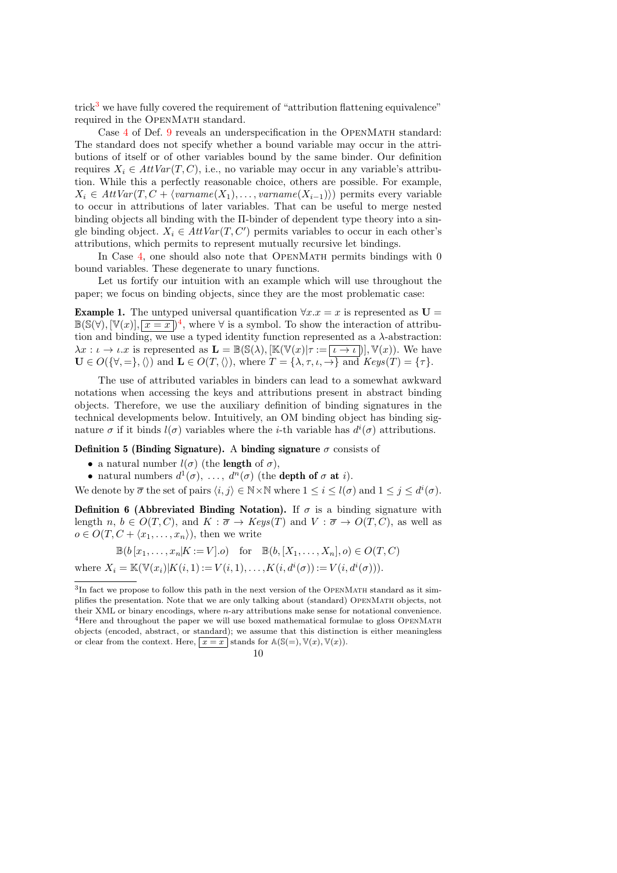trick<sup>[3](#page-9-0)</sup> we have fully covered the requirement of "attribution flattening equivalence" required in the OPENMATH standard.

Case  $4$  of Def.  $9$  reveals an underspecification in the OPENMATH standard: The standard does not specify whether a bound variable may occur in the attributions of itself or of other variables bound by the same binder. Our definition requires  $X_i \in AttVar(T, C)$ , i.e., no variable may occur in any variable's attribution. While this a perfectly reasonable choice, others are possible. For example,  $X_i \in AttVar(T, C + \langle varname(X_1), \ldots, varname(X_{i-1}) \rangle)$  permits every variable to occur in attributions of later variables. That can be useful to merge nested binding objects all binding with the Π-binder of dependent type theory into a single binding object.  $X_i \in AttVar(T, C')$  permits variables to occur in each other's attributions, which permits to represent mutually recursive let bindings.

In Case [4,](#page-8-1) one should also note that OPENMATH permits bindings with 0 bound variables. These degenerate to unary functions.

Let us fortify our intuition with an example which will use throughout the paper; we focus on binding objects, since they are the most problematic case:

<span id="page-9-2"></span>**Example 1.** The untyped universal quantification  $\forall x.x = x$  is represented as  $\mathbf{U} =$  $\mathbb{B}(\mathbb{S}(\forall), [\mathbb{V}(x)], \overline{x=x})^4$  $\mathbb{B}(\mathbb{S}(\forall), [\mathbb{V}(x)], \overline{x=x})^4$ , where  $\forall$  is a symbol. To show the interaction of attribution and binding, we use a typed identity function represented as a  $\lambda$ -abstraction:  $\lambda x : \iota \to \iota.x$  is represented as  $\mathbf{L} = \mathbb{B}(\mathbb{S}(\lambda), [\mathbb{K}(\mathbb{V}(x)|\tau := \lceil \iota \to \iota \rceil)], \mathbb{V}(x)).$  We have  $\mathbf{U} \in O(\{\forall,=\},\langle\rangle)$  and  $\mathbf{L} \in O(T,\langle\rangle),$  where  $T = \{\lambda,\tau,\iota,\rightarrow\}$  and  $Keys(T) = \{\tau\}.$ 

The use of attributed variables in binders can lead to a somewhat awkward notations when accessing the keys and attributions present in abstract binding objects. Therefore, we use the auxiliary definition of binding signatures in the technical developments below. Intuitively, an OM binding object has binding signature  $\sigma$  if it binds  $l(\sigma)$  variables where the *i*-th variable has  $d^{i}(\sigma)$  attributions.

Definition 5 (Binding Signature). A binding signature  $\sigma$  consists of

- a natural number  $l(\sigma)$  (the **length** of  $\sigma$ ),
- natural numbers  $d^1(\sigma)$ , ...,  $d^n(\sigma)$  (the **depth of**  $\sigma$  **at** *i*).

We denote by  $\overline{\sigma}$  the set of pairs  $\langle i, j \rangle \in \mathbb{N} \times \mathbb{N}$  where  $1 \leq i \leq l(\sigma)$  and  $1 \leq j \leq d^{i}(\sigma)$ .

Definition 6 (Abbreviated Binding Notation). If  $\sigma$  is a binding signature with length n,  $b \in O(T, C)$ , and  $K : \overline{\sigma} \to Keys(T)$  and  $V : \overline{\sigma} \to O(T, C)$ , as well as  $o \in O(T, C + \langle x_1, \ldots, x_n \rangle)$ , then we write

$$
\mathbb{B}(b[x_1,...,x_n|K:=V].o) \text{ for } \mathbb{B}(b,[X_1,...,X_n],o) \in O(T,C)
$$
  
where  $X_i = \mathbb{K}(\mathbb{V}(x_i)|K(i,1):=V(i,1),...,K(i,d^i(\sigma)):=V(i,d^i(\sigma))).$ 

<span id="page-9-1"></span><span id="page-9-0"></span><sup>&</sup>lt;sup>3</sup>In fact we propose to follow this path in the next version of the OPENMATH standard as it simplifies the presentation. Note that we are only talking about (standard) OpenMath objects, not their XML or binary encodings, where n-ary attributions make sense for notational convenience. <sup>4</sup>Here and throughout the paper we will use boxed mathematical formulae to gloss OPENMATH objects (encoded, abstract, or standard); we assume that this distinction is either meaningless or clear from the context. Here,  $x = x$  stands for  $\mathbb{A}(\mathbb{S}(-), \mathbb{V}(x), \mathbb{V}(x))$ .

<sup>10</sup>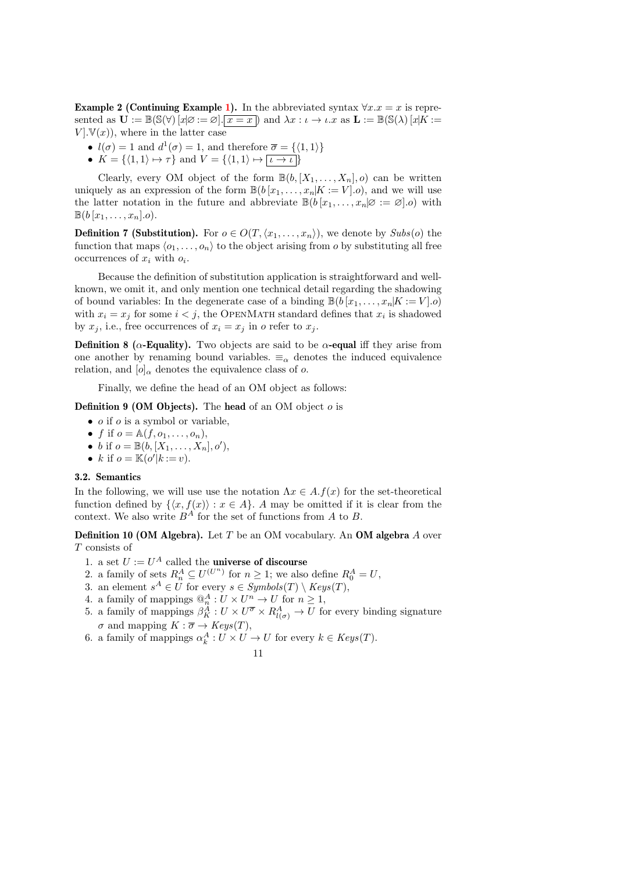<span id="page-10-1"></span>**Example 2 (Continuing Example [1\)](#page-9-2).** In the abbreviated syntax  $\forall x.x = x$  is represented as  $\mathbf{U} := \mathbb{B}(\mathbb{S}(\forall) [x | \emptyset := \emptyset] \cdot \overline{x = x}]$  and  $\lambda x : \iota \to \iota.x$  as  $\mathbf{L} := \mathbb{B}(\mathbb{S}(\lambda) [x | K := \emptyset] \cdot \overline{x}$  $V(\mathbb{V}(x))$ , where in the latter case

- $l(\sigma) = 1$  and  $d^1(\sigma) = 1$ , and therefore  $\overline{\sigma} = \{ \langle 1, 1 \rangle \}$
- $K = \{(1, 1) \mapsto \tau\}$  and  $V = \{(1, 1) \mapsto \lceil \iota \to \iota \rceil\}$

Clearly, every OM object of the form  $\mathbb{B}(b, [X_1, \ldots, X_n], o)$  can be written uniquely as an expression of the form  $\mathbb{B}(b[x_1,\ldots,x_n|K:=V].o)$ , and we will use the latter notation in the future and abbreviate  $\mathbb{B}(b[x_1,\ldots,x_n|\varnothing:=\varnothing].o)$  with  $\mathbb{B}(b[x_1,\ldots,x_n].o).$ 

**Definition 7 (Substitution).** For  $o \in O(T, \langle x_1, \ldots, x_n \rangle)$ , we denote by  $Subs(o)$  the function that maps  $\langle o_1, \ldots, o_n \rangle$  to the object arising from o by substituting all free occurrences of  $x_i$  with  $o_i$ .

Because the definition of substitution application is straightforward and wellknown, we omit it, and only mention one technical detail regarding the shadowing of bound variables: In the degenerate case of a binding  $\mathbb{B}(b[x_1,\ldots,x_n|K:=V].o)$ with  $x_i = x_j$  for some  $i < j$ , the OPENMATH standard defines that  $x_i$  is shadowed by  $x_j$ , i.e., free occurrences of  $x_i = x_j$  in o refer to  $x_j$ .

**Definition 8 (** $\alpha$ **-Equality).** Two objects are said to be  $\alpha$ -equal iff they arise from one another by renaming bound variables.  $\equiv_{\alpha}$  denotes the induced equivalence relation, and  $[o]_{\alpha}$  denotes the equivalence class of o.

Finally, we define the head of an OM object as follows:

<span id="page-10-0"></span>**Definition 9 (OM Objects).** The head of an OM object  $o$  is

- $o$  if  $o$  is a symbol or variable,
- f if  $o = \mathbb{A}(f, o_1, \ldots, o_n)$ ,
- *b* if  $o = \mathbb{B}(b, [X_1, ..., X_n], o'),$
- k if  $o = \mathbb{K}(o'|k := v)$ .

## 3.2. Semantics

In the following, we will use use the notation  $\Lambda x \in A.f(x)$  for the set-theoretical function defined by  $\{\langle x, f(x)\rangle : x \in A\}$ . A may be omitted if it is clear from the context. We also write  $B^A$  for the set of functions from A to B.

# <span id="page-10-2"></span>**Definition 10 (OM Algebra).** Let T be an OM vocabulary. An **OM algebra**  $A$  over T consists of

- 1. a set  $U := U^A$  called the **universe of discourse**
- 2. a family of sets  $R_n^A \subseteq U^{(U^n)}$  for  $n \geq 1$ ; we also define  $R_0^A = U$ ,
- 3. an element  $s^A \in U$  for every  $s \in Symbols(T) \setminus Keys(T)$ ,
- 4. a family of mappings  $\mathbb{Q}_n^A: U \times U^n \to U$  for  $n \geq 1$ ,
- 5. a family of mappings  $\beta_K^A: U \times U^{\overline{\sigma}} \times R^A_{l(\sigma)} \to U$  for every binding signature  $\sigma$  and mapping  $K : \overline{\sigma} \to Keys(T)$ ,
- 6. a family of mappings  $\alpha_k^A: U \times U \to U$  for every  $k \in Keys(T)$ .

11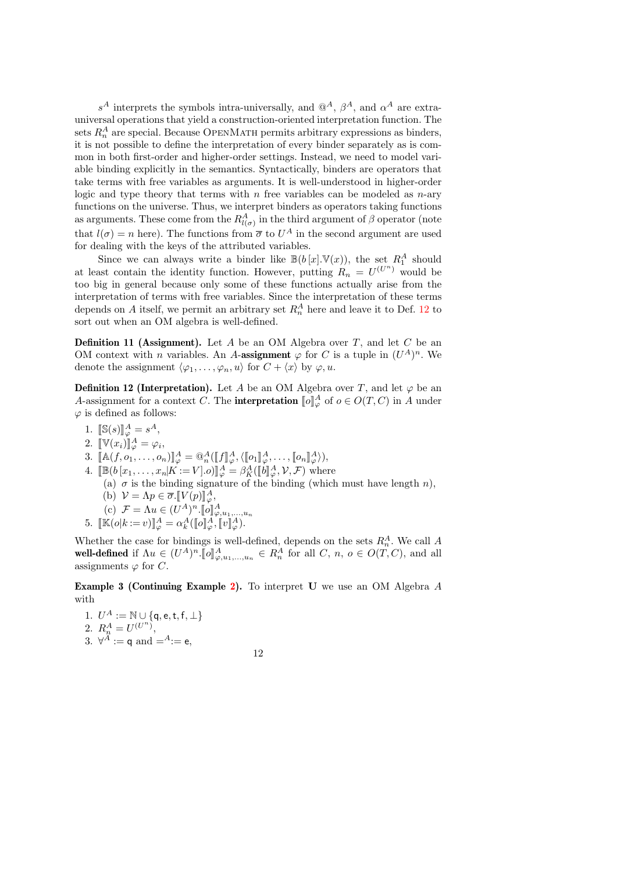$s^A$  interprets the symbols intra-universally, and  $\mathbb{Q}^A$ ,  $\beta^A$ , and  $\alpha^A$  are extrauniversal operations that yield a construction-oriented interpretation function. The sets  $R_n^A$  are special. Because OPENMATH permits arbitrary expressions as binders, it is not possible to define the interpretation of every binder separately as is common in both first-order and higher-order settings. Instead, we need to model variable binding explicitly in the semantics. Syntactically, binders are operators that take terms with free variables as arguments. It is well-understood in higher-order logic and type theory that terms with n free variables can be modeled as  $n$ -ary functions on the universe. Thus, we interpret binders as operators taking functions as arguments. These come from the  $R_{l(\sigma)}^{A}$  in the third argument of  $\beta$  operator (note that  $l(\sigma) = n$  here). The functions from  $\overline{\sigma}$  to  $U^A$  in the second argument are used for dealing with the keys of the attributed variables.

Since we can always write a binder like  $\mathbb{B}(b[x], \mathbb{V}(x))$ , the set  $R_1^A$  should at least contain the identity function. However, putting  $R_n = U^{(U^n)}$  would be too big in general because only some of these functions actually arise from the interpretation of terms with free variables. Since the interpretation of these terms depends on A itself, we permit an arbitrary set  $R_n^A$  here and leave it to Def. [12](#page-11-0) to sort out when an OM algebra is well-defined.

**Definition 11 (Assignment).** Let A be an OM Algebra over T, and let C be an OM context with *n* variables. An A-assignment  $\varphi$  for C is a tuple in  $(U^A)^n$ . We denote the assignment  $\langle \varphi_1, \ldots, \varphi_n, u \rangle$  for  $C + \langle x \rangle$  by  $\varphi, u$ .

<span id="page-11-0"></span>**Definition 12 (Interpretation).** Let A be an OM Algebra over T, and let  $\varphi$  be an A-assignment for a context C. The **interpretation**  $[\![o]\!]_\\\varphi^A$  of  $o \in O(T, C)$  in A under  $\varphi$  is defined as follows:

- 1.  $[\mathbb{S}(s)]_{\varphi}^{A} = s^{A},$ <br>  $\mathbb{S}^{I}(\mathbb{S}(s))$   $\mathbb{S}^{A}$
- 2.  $[\mathbb{V}(x_i)]_{\varphi}^A = \varphi_i,$
- 3.  $[\mathbb{A}(f, o_1, \ldots, o_n)]_q^A = \mathbb{Q}_q^A([\![f]\!]_q^A, \langle [o_1]\!]_q^A, \ldots, [o_n]\!]_q^A\rangle),$
- 4.  $[\mathbb{B}(b[x_1, \ldots, x_n|K := V].\rho)]_q^A = \beta_K^A([\![b]\!]_q^A, \mathcal{V}, \mathcal{F})$  where
	- (a)  $\sigma$  is the binding signature of the binding (which must have length n), (b)  $\mathcal{V} = \Lambda p \in \overline{\sigma} \cdot [V(p)]_{\varphi}^A,$
- (c)  $\mathcal{F} = \Lambda u \in (U^A)^n \cdot [\![\![o]\!]_{\phi, u_1, ..., u_n}^A$ <br>
5.  $[\![\mathbb{K}(o|k := v)]\!]_{\varphi}^A = \alpha_k^A([\![o]\!]_{\varphi}^A, [\![v]\!]_{\varphi}^A).$

Whether the case for bindings is well-defined, depends on the sets  $R_n^A$ . We call A well-defined if  $\Lambda u \in (U^A)^n \cdot [o]_{\varphi, u_1, ..., u_n}^A \in R_n^A$  for all  $C, n, o \in O(T, C)$ , and all assignments  $\varphi$  for  $C$ assignments  $\varphi$  for C.

<span id="page-11-1"></span>Example 3 (Continuing Example [2\)](#page-10-1). To interpret U we use an OM Algebra A with

12

1. 
$$
U^A := \mathbb{N} \cup \{q, e, t, f, \bot\}
$$
  
\n2.  $R_n^A = U^{(U^n)}$ ,  
\n3.  $\forall^A := q$  and  $=^A := e$ ,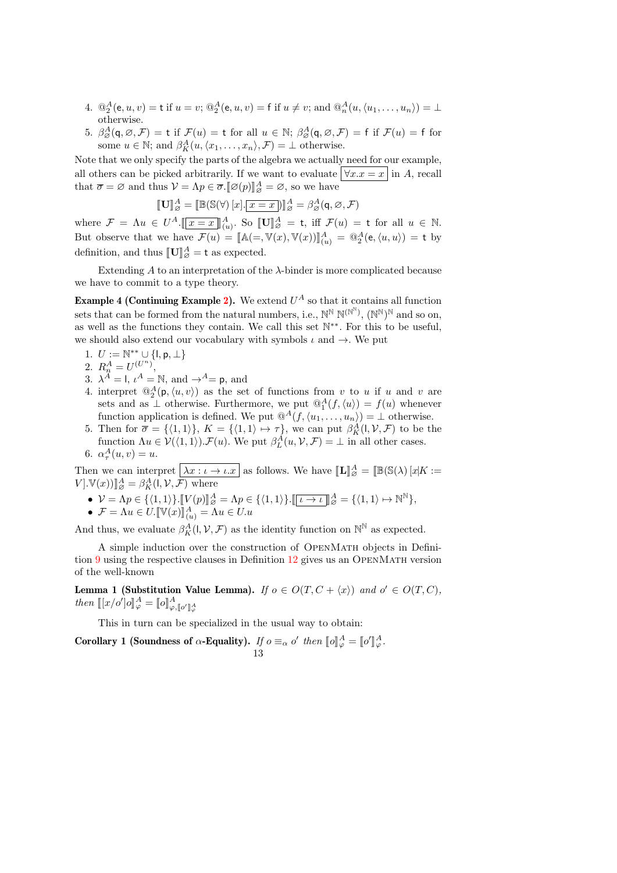- 4.  $\mathbb{Q}_2^A(\mathsf{e}, u, v) = \mathsf{t} \text{ if } u = v; \mathbb{Q}_2^A(\mathsf{e}, u, v) = \mathsf{f} \text{ if } u \neq v; \text{ and } \mathbb{Q}_n^A(u, \langle u_1, \ldots, u_n \rangle) = \bot$ otherwise.
- 5.  $\beta_{\varnothing}^A(q,\varnothing,\mathcal{F}) =$  t if  $\mathcal{F}(u) =$  t for all  $u \in \mathbb{N}$ ;  $\beta_{\varnothing}^A(q,\varnothing,\mathcal{F}) =$  f if  $\mathcal{F}(u) =$  f for some  $u \in \mathbb{N}$ ; and  $\beta_K^A(u, \langle x_1, \ldots, x_n \rangle, \mathcal{F}) = \bot$  otherwise.

Note that we only specify the parts of the algebra we actually need for our example, all others can be picked arbitrarily. If we want to evaluate  $|\forall x.x = x|$  in A, recall that  $\overline{\sigma} = \varnothing$  and thus  $\mathcal{V} = \Lambda p \in \overline{\sigma}$ .  $[\![\varnothing(p)]\!]_{\varnothing}^A = \varnothing$ , so we have

$$
[\![\mathbf{U}]\!]_{\varnothing}^A = [\![\mathbb{B}(\mathbb{S}(\forall)[x].\underline{x=x}])]\!]_{\varnothing}^A = \beta_{\varnothing}^A(\mathsf{q},\varnothing,\mathcal{F})
$$

where  $\mathcal{F} = \Lambda u \in U^A \cdot \mathbb{R} \mathbb{Z} \mathbb{Z}^d$ , So  $\mathbb{U} \mathbb{R}^A \neq \mathbf{t}$ , iff  $\mathcal{F}(u) = \mathbf{t}$  for all  $u \in \mathbb{N}$ . But observe that we have  $\mathcal{F}(u) = [\mathbb{A}(\equiv, \mathbb{V}(x), \mathbb{V}(x))]_{(u)}^A = \mathbb{Q}_2^A(\mathsf{e}, \langle u, u \rangle) = \mathsf{t}$  by definition, and thus  $[\![\mathbf{U}]\!]_2^A = \mathsf{t}$  as expected.

Extending A to an interpretation of the  $\lambda$ -binder is more complicated because we have to commit to a type theory.

**Example 4 (Continuing Example [2\)](#page-10-1).** We extend  $U^A$  so that it contains all function sets that can be formed from the natural numbers, i.e.,  $\mathbb{N}^{\mathbb{N}} \mathbb{N}^{(\mathbb{N}^{\mathbb{N}})}$ ,  $(\mathbb{N}^{\mathbb{N}})^{\mathbb{N}}$  and so on, as well as the functions they contain. We call this set N ∗∗. For this to be useful, we should also extend our vocabulary with symbols  $\iota$  and  $\rightarrow$ . We put

- 1.  $U := \mathbb{N}^{**} \cup \{1, p, \perp\}$
- 2.  $R_n^A = U^{(U^n)}$ ,
- 3.  $\lambda^{\tilde{A}} = I$ ,  $\iota^A = \mathbb{N}$ , and  $\rightarrow^A = \mathsf{p}$ , and
- 4. interpret  $\mathbb{Q}_2^A(\mathsf{p},\langle u,v\rangle)$  as the set of functions from v to u if u and v are sets and as  $\perp$  otherwise. Furthermore, we put  $\mathbb{Q}_1^A(f,\langle u \rangle) = f(u)$  whenever function application is defined. We put  $\mathbb{Q}^A(f,\langle u_1,\ldots,u_n\rangle) = \bot$  otherwise.
- 5. Then for  $\bar{\sigma} = \{ \langle 1, 1 \rangle \}, K = \{ \langle 1, 1 \rangle \mapsto \tau \},\$ we can put  $\beta_K^A(\mathbf{l}, \mathcal{V}, \mathcal{F})$  to be the function  $\Lambda u \in \mathcal{V}(\langle 1,1\rangle) \cdot \mathcal{F}(u)$ . We put  $\beta_L^A(u, \mathcal{V}, \mathcal{F}) = \bot$  in all other cases. 6.  $\alpha_{\tau}^{A}(u,v) = u.$

Then we can interpret  $\left[\lambda x : \iota \to \iota.x\right]$  as follows. We have  $\llbracket L \rrbracket_{\varnothing}^A = \llbracket \mathbb{B}(\mathbb{S}(\lambda) \left[x|K := \iota X \right] \vee \mathbb{S}(\lambda) \right]$  $[V].\mathbb{V}(x))]_{{\mathcal{S}}}^A = \beta_K^A(I, \mathcal{V}, \mathcal{F})$  where

•  $V = \Lambda p \in \{(1, 1)\} \cdot [[V(p)]]_{\infty}^{A} = \Lambda p \in \{(1, 1)\} \cdot [[\ell \rightarrow \ell]]_{\infty}^{A} = \{(1, 1) \mapsto \mathbb{N}^{\mathbb{N}}\},$ •  $\mathcal{F} = \Lambda u \in U. [\![\mathbb{V}(x)]\!]_{(u)}^A = \Lambda u \in U. u$ 

And thus, we evaluate  $\beta_K^A(1, \mathcal{V}, \mathcal{F})$  as the identity function on  $\mathbb{N}^{\mathbb{N}}$  as expected.

A simple induction over the construction of OpenMath objects in Definition [9](#page-10-0) using the respective clauses in Definition [12](#page-11-0) gives us an OpenMath version of the well-known

Lemma 1 (Substitution Value Lemma). If  $o \in O(T, C + \langle x \rangle)$  and  $o' \in O(T, C)$ , then  $\llbracket [x/o']o \rrbracket_{\varphi}^A = \llbracket o \rrbracket_{\varphi, [\llbracket o' \rrbracket_{\varphi}^A]}^A$ 

This in turn can be specialized in the usual way to obtain:

<span id="page-12-0"></span>Corollary 1 (Soundness of  $\alpha$ -Equality). If  $o \equiv_{\alpha} o'$  then  $[\![o]\!]_{\varphi}^A = [\![o']\!]$ l<br>I  $^A_\varphi.$ 13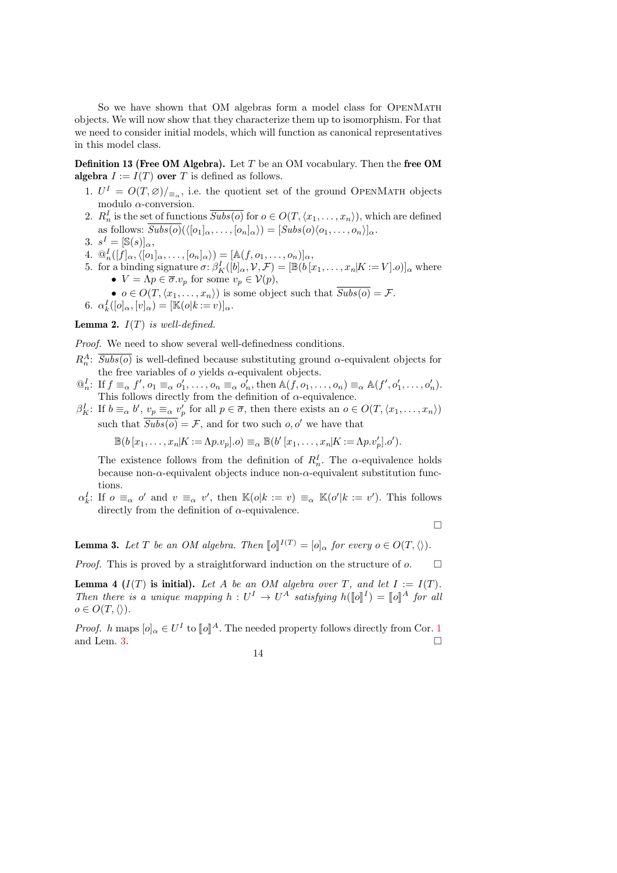So we have shown that OM algebras form a model class for OPENMATH objects. We will now show that they characterize them up to isomorphism. For that we need to consider initial models, which will function as canonical representatives in this model class.

**Definition 13 (Free OM Algebra).** Let  $T$  be an OM vocabulary. Then the free OM algebra  $I := I(T)$  over T is defined as follows.

- 1.  $U^I = O(T, \varnothing) /_{\equiv_{\alpha}},$  i.e. the quotient set of the ground OPENMATH objects modulo  $\alpha$ -conversion.
- 2.  $R_n^I$  is the set of functions  $\overline{Subs(o)}$  for  $o \in O(T, \langle x_1, \ldots, x_n \rangle)$ , which are defined as follows:  $\overline{Subs(o)}(\langle [o_1]_{\alpha}, \ldots, [o_n]_{\alpha})\rangle = [Subs(o)\langle o_1, \ldots, o_n\rangle]_{\alpha}$ .
- 3.  $s^I = [\mathbb{S}(s)]_{\alpha}$ ,
- 4.  $\mathbb{Q}_n^I([f]_\alpha,\langle [o_1]_\alpha,\ldots,[o_n]_\alpha\rangle) = [\mathbb{A}(f,o_1,\ldots,o_n)]_\alpha,$
- 5. for a binding signature  $\sigma: \beta_K^I([b]_\alpha, V, \mathcal{F}) = [\mathbb{B}(b[x_1, \ldots, x_n | K := V].\sigma)]_\alpha$  where •  $V = \Lambda p \in \overline{\sigma} \cdot v_p$  for some  $v_p \in V(p)$ ,

• 
$$
o \in O(T, \langle x_1, \ldots, x_n \rangle)
$$
 is some object such that  $Subs(o) = \mathcal{F}$ .  
6.  $\alpha_k^I([o]_\alpha, [v]_\alpha) = [\mathbb{K}(o|k := v)]_\alpha$ .

**Lemma 2.**  $I(T)$  is well-defined.

Proof. We need to show several well-definedness conditions.

- $R_n^A$ :  $\overline{Subs(o)}$  is well-defined because substituting ground  $\alpha$ -equivalent objects for the free variables of  $o$  yields  $\alpha$ -equivalent objects.
- $\mathbb{Q}_n^I$ : If  $f \equiv_\alpha f', o_1 \equiv_\alpha o'_1, \ldots, o_n \equiv_\alpha o'_n$ , then  $\mathbb{A}(f, o_1, \ldots, o_n) \equiv_\alpha \mathbb{A}(f', o'_1, \ldots, o'_n)$ . This follows directly from the definition of  $\alpha$ -equivalence.
- $\beta_K^I$ : If  $b \equiv_\alpha b'$ ,  $v_p \equiv_\alpha v'_p$  for all  $p \in \overline{\sigma}$ , then there exists an  $o \in O(T, \langle x_1, \ldots, x_n \rangle)$ such that  $\overline{Subs(o)} = \mathcal{F}$ , and for two such  $o, o'$  we have that

$$
\mathbb{B}(b[x_1,\ldots,x_n|K:=\Lambda p.v_p].o) \equiv_\alpha \mathbb{B}(b'[x_1,\ldots,x_n|K:=\Lambda p.v'_p].o').
$$

The existence follows from the definition of  $R_n^I$ . The  $\alpha$ -equivalence holds because non- $\alpha$ -equivalent objects induce non- $\alpha$ -equivalent substitution functions.

 $\alpha_k^I$ : If  $o \equiv_\alpha o'$  and  $v \equiv_\alpha v'$ , then  $\mathbb{K}(o|k := v) \equiv_\alpha \mathbb{K}(o'|k := v')$ . This follows directly from the definition of  $\alpha$ -equivalence.

 $\Box$ 

<span id="page-13-0"></span>**Lemma 3.** Let T be an OM algebra. Then  $\llbracket o \rrbracket^{I(T)} = [o]_{\alpha}$  for every  $o \in O(T, \langle \rangle)$ .

*Proof.* This is proved by a straightforward induction on the structure of  $o$ .

**Lemma 4** ( $I(T)$  is initial). Let A be an OM algebra over T, and let  $I := I(T)$ . Then there is a unique mapping  $h: U^I \to U^A$  satisfying  $h([\![o]\!]^I) = [\![o]\!]^A$  for all  $\alpha \in O(T, \triangle)$  $o \in O(T,\langle \rangle)$ .

*Proof.* h maps  $[o]_{\alpha} \in U^I$  to  $[]o]^A$ . The needed property follows directly from Cor. [1](#page-12-0) and Lem. [3.](#page-13-0)

14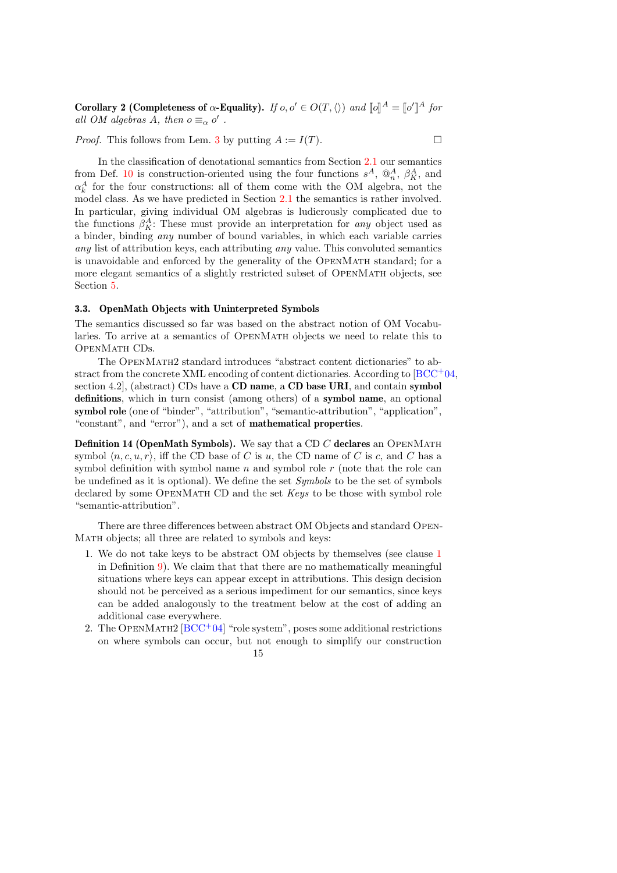**Corollary 2 (Completeness of**  $\alpha$ **-Equality).** If  $o, o' \in O(T, \langle \rangle)$  and  $[\![o]\!]^A = [\![o']\!]$  $\mathbb{I}^A$  for all OM algebras A, then  $o \equiv_{\alpha} o'$ .

*Proof.* This follows from Lem. [3](#page-13-0) by putting  $A := I(T)$ .

In the classification of denotational semantics from Section [2.1](#page-4-0) our semantics from Def. [10](#page-10-2) is construction-oriented using the four functions  $s^A$ ,  $\mathbb{Q}_n^A$ ,  $\beta_K^A$ , and  $\alpha_k^A$  for the four constructions: all of them come with the OM algebra, not the model class. As we have predicted in Section [2.1](#page-4-0) the semantics is rather involved. In particular, giving individual OM algebras is ludicrously complicated due to the functions  $\beta_K^A$ : These must provide an interpretation for *any* object used as a binder, binding any number of bound variables, in which each variable carries any list of attribution keys, each attributing any value. This convoluted semantics is unavoidable and enforced by the generality of the OPENMATH standard; for a more elegant semantics of a slightly restricted subset of OpenMath objects, see Section [5.](#page-21-0)

#### <span id="page-14-0"></span>3.3. OpenMath Objects with Uninterpreted Symbols

The semantics discussed so far was based on the abstract notion of OM Vocabularies. To arrive at a semantics of OpenMath objects we need to relate this to OpenMath CDs.

The OPENMATH2 standard introduces "abstract content dictionaries" to abstract from the concrete XML encoding of content dictionaries. According to  $[BCC^+04,$  $[BCC^+04,$ section 4.2], (abstract) CDs have a CD name, a CD base URI, and contain symbol definitions, which in turn consist (among others) of a symbol name, an optional symbol role (one of "binder", "attribution", "semantic-attribution", "application", "constant", and "error"), and a set of mathematical properties.

<span id="page-14-1"></span>Definition 14 (OpenMath Symbols). We say that a CD C declares an OPENMATH symbol  $\langle n, c, u, r \rangle$ , iff the CD base of C is u, the CD name of C is c, and C has a symbol definition with symbol name  $n$  and symbol role  $r$  (note that the role can be undefined as it is optional). We define the set Symbols to be the set of symbols declared by some OPENMATH CD and the set Keys to be those with symbol role "semantic-attribution".

There are three differences between abstract OM Objects and standard Open-Math objects; all three are related to symbols and keys:

- 1. We do not take keys to be abstract OM objects by themselves (see clause [1](#page-8-2) in Definition [9\)](#page-10-0). We claim that that there are no mathematically meaningful situations where keys can appear except in attributions. This design decision should not be perceived as a serious impediment for our semantics, since keys can be added analogously to the treatment below at the cost of adding an additional case everywhere.
- 2. The OPENMATH2  $[BCC^+04]$  $[BCC^+04]$  "role system", poses some additional restrictions on where symbols can occur, but not enough to simplify our construction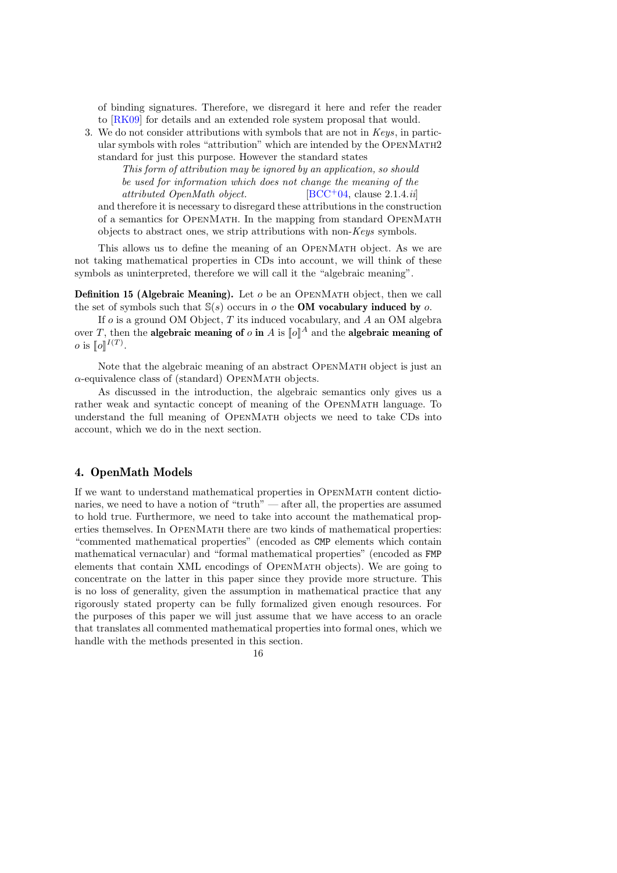of binding signatures. Therefore, we disregard it here and refer the reader to [\[RK09\]](#page-28-6) for details and an extended role system proposal that would.

3. We do not consider attributions with symbols that are not in Keys, in particular symbols with roles "attribution" which are intended by the OPENMATH2 standard for just this purpose. However the standard states

This form of attribution may be ignored by an application, so should be used for information which does not change the meaning of the attributed OpenMath object.  $[BCC^+04, \text{ clause } 2.1.4.ii]$  $[BCC^+04, \text{ clause } 2.1.4.ii]$ and therefore it is necessary to disregard these attributions in the construction

of a semantics for OpenMath. In the mapping from standard OpenMath objects to abstract ones, we strip attributions with non-Keys symbols.

This allows us to define the meaning of an OpenMath object. As we are not taking mathematical properties in CDs into account, we will think of these symbols as uninterpreted, therefore we will call it the "algebraic meaning".

**Definition 15 (Algebraic Meaning).** Let  $o$  be an OPENMATH object, then we call the set of symbols such that  $\mathbb{S}(s)$  occurs in o the **OM vocabulary induced by** o.

If  $o$  is a ground OM Object,  $T$  its induced vocabulary, and  $A$  an OM algebra over T, then the **algebraic meaning of**  $o$  **in**  $A$  is  $[\![o]\!]^A$  and the **algebraic meaning of**  $o$  is  $[\![s]\!]^I(T)$ *o* is  $\llbracket o \rrbracket^{I(T)}$ .

Note that the algebraic meaning of an abstract OPENMATH object is just an  $\alpha$ -equivalence class of (standard) OPENMATH objects.

As discussed in the introduction, the algebraic semantics only gives us a rather weak and syntactic concept of meaning of the OpenMath language. To understand the full meaning of OpenMath objects we need to take CDs into account, which we do in the next section.

# <span id="page-15-0"></span>4. OpenMath Models

If we want to understand mathematical properties in OpenMath content dictionaries, we need to have a notion of "truth" — after all, the properties are assumed to hold true. Furthermore, we need to take into account the mathematical properties themselves. In OpenMath there are two kinds of mathematical properties: "commented mathematical properties" (encoded as CMP elements which contain mathematical vernacular) and "formal mathematical properties" (encoded as FMP elements that contain XML encodings of OpenMath objects). We are going to concentrate on the latter in this paper since they provide more structure. This is no loss of generality, given the assumption in mathematical practice that any rigorously stated property can be fully formalized given enough resources. For the purposes of this paper we will just assume that we have access to an oracle that translates all commented mathematical properties into formal ones, which we handle with the methods presented in this section.

<sup>16</sup>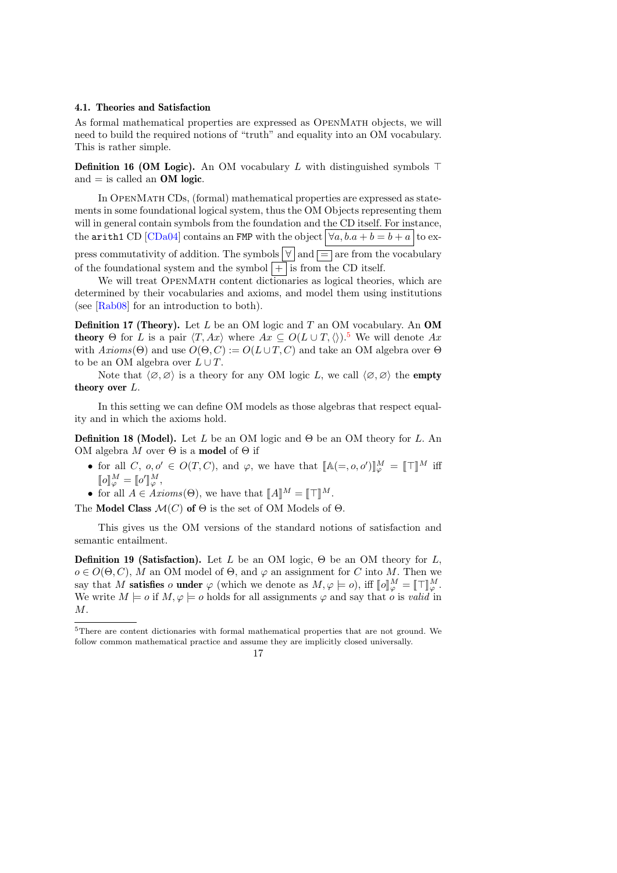#### <span id="page-16-2"></span>4.1. Theories and Satisfaction

As formal mathematical properties are expressed as OpenMath objects, we will need to build the required notions of "truth" and equality into an OM vocabulary. This is rather simple.

<span id="page-16-1"></span>**Definition 16 (OM Logic).** An OM vocabulary  $L$  with distinguished symbols  $\top$ and  $=$  is called an **OM** logic.

In OpenMath CDs, (formal) mathematical properties are expressed as statements in some foundational logical system, thus the OM Objects representing them will in general contain symbols from the foundation and the CD itself. For instance, the arith1 CD [\[CDa04\]](#page-27-6) contains an FMP with the object  $\boxed{\forall a, b.a + b = b + a}$  to express commutativity of addition. The symbols  $\forall$  and  $\equiv$  are from the vocabulary of the foundational system and the symbol  $\boxed{+}$  is from the CD itself.

We will treat OPENMATH content dictionaries as logical theories, which are determined by their vocabularies and axioms, and model them using institutions (see [\[Rab08\]](#page-28-9) for an introduction to both).

**Definition 17 (Theory).** Let L be an OM logic and T an OM vocabulary. An **OM theory** Θ for L is a pair  $\langle T, Ax \rangle$  where  $Ax \subseteq O(L \cup T, \langle \rangle)$ .<sup>[5](#page-16-0)</sup> We will denote Ax with  $Axioms(\Theta)$  and use  $O(\Theta, C) := O(L \cup T, C)$  and take an OM algebra over  $\Theta$ to be an OM algebra over  $L \cup T$ .

Note that  $\langle \emptyset, \emptyset \rangle$  is a theory for any OM logic L, we call  $\langle \emptyset, \emptyset \rangle$  the **empty** theory over L.

In this setting we can define OM models as those algebras that respect equality and in which the axioms hold.

**Definition 18 (Model).** Let L be an OM logic and  $\Theta$  be an OM theory for L. An OM algebra M over  $\Theta$  is a **model** of  $\Theta$  if

- for all  $C, o, o' \in O(T, C)$ , and  $\varphi$ , we have that  $[\mathbb{A}([-, o, o')]_{{\varphi}}^M = [\![\top]\!]^M$  iff  $\llbracket o \rrbracket_{\varphi}^M = \llbracket o' \rrbracket_{\varphi}^M,$
- for all  $A \in Axiom(s)$ , we have that  $\llbracket A \rrbracket^M = \llbracket \top \rrbracket^M$ .

The Model Class  $\mathcal{M}(C)$  of  $\Theta$  is the set of OM Models of  $\Theta$ .

This gives us the OM versions of the standard notions of satisfaction and semantic entailment.

**Definition 19 (Satisfaction).** Let L be an OM logic,  $\Theta$  be an OM theory for L,  $o \in O(\Theta, C)$ , M an OM model of  $\Theta$ , and  $\varphi$  an assignment for C into M. Then we say that M **satisfies** o **under**  $\varphi$  (which we denote as  $M, \varphi \models o$ ), iff  $[\![o]\!]_{\varphi}^M = [\![\top]\!]_{\varphi}^M$ . We write  $M \models o$  if  $M, \varphi \models o$  holds for all assignments  $\varphi$  and say that o is valid in M.

<span id="page-16-0"></span><sup>5</sup>There are content dictionaries with formal mathematical properties that are not ground. We follow common mathematical practice and assume they are implicitly closed universally.

<sup>17</sup>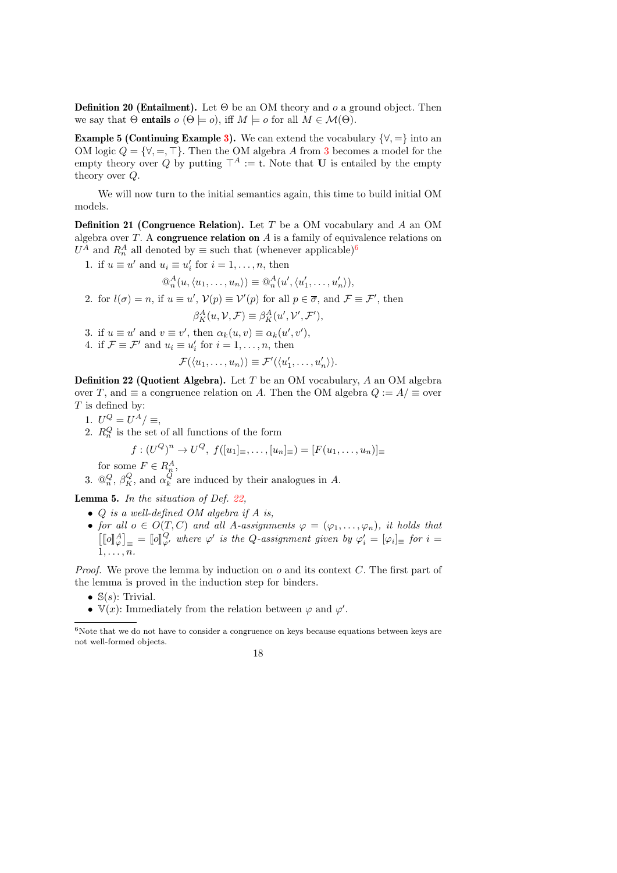**Definition 20 (Entailment).** Let  $\Theta$  be an OM theory and  $o$  a ground object. Then we say that  $\Theta$  entails  $o$  ( $\Theta \models o$ ), iff  $M \models o$  for all  $M \in \mathcal{M}(\Theta)$ .

**Example 5 (Continuing Example [3\)](#page-11-1).** We can extend the vocabulary  $\{\forall, =\}$  into an OM logic  $Q = \{ \forall, =, \top \}$ . Then the OM algebra A from [3](#page-11-1) becomes a model for the empty theory over Q by putting  $\mathcal{T}^A := \mathsf{t}$ . Note that **U** is entailed by the empty theory over Q.

We will now turn to the initial semantics again, this time to build initial OM models.

**Definition 21 (Congruence Relation).** Let  $T$  be a OM vocabulary and  $A$  an OM algebra over  $T$ . A **congruence relation on**  $A$  is a family of equivalence relations on  $U^A$  and  $R_n^A$  all denoted by  $\equiv$  such that (whenever applicable)<sup>[6](#page-17-0)</sup>

1. if  $u \equiv u'$  and  $u_i \equiv u'_i$  for  $i = 1, \ldots, n$ , then

$$
\mathbb{Q}_n^A(u, \langle u_1, \ldots, u_n \rangle) \equiv \mathbb{Q}_n^A(u', \langle u'_1, \ldots, u'_n \rangle),
$$

2. for  $l(\sigma) = n$ , if  $u \equiv u'$ ,  $\mathcal{V}(p) \equiv \mathcal{V}'(p)$  for all  $p \in \overline{\sigma}$ , and  $\mathcal{F} \equiv \mathcal{F}'$ , then

$$
\beta_K^A(u, \mathcal{V}, \mathcal{F}) \equiv \beta_K^A(u', \mathcal{V}', \mathcal{F}'),
$$

- 3. if  $u \equiv u'$  and  $v \equiv v'$ , then  $\alpha_k(u, v) \equiv \alpha_k(u', v')$ ,
- 4. if  $\mathcal{F} \equiv \mathcal{F}'$  and  $u_i \equiv u'_i$  for  $i = 1, \ldots, n$ , then

$$
\mathcal{F}(\langle u_1,\ldots,u_n\rangle)\equiv \mathcal{F}'(\langle u'_1,\ldots,u'_n\rangle).
$$

<span id="page-17-1"></span>**Definition 22 (Quotient Algebra).** Let T be an OM vocabulary, A an OM algebra over T, and  $\equiv$  a congruence relation on A. Then the OM algebra  $Q := A / \equiv$  over  ${\cal T}$  is defined by:

- 1.  $U^Q = U^A / \equiv$ ,
- 2.  $R_n^Q$  is the set of all functions of the form

$$
f: (U^{Q})^{n} \to U^{Q}, f([u_{1}]_{\equiv},..., [u_{n}]_{\equiv}) = [F(u_{1},..., u_{n})]_{\equiv}
$$
  
 $f \in R^{A}$ 

for some  $F \in R_n^A$ ,

3.  $\mathbb{Q}_n^Q$ ,  $\beta_K^Q$ , and  $\alpha_k^Q$  are induced by their analogues in A.

<span id="page-17-2"></span>Lemma 5. In the situation of Def. 22.

- $Q$  is a well-defined OM algebra if A is,
- for all  $o \in O(T, C)$  and all A-assignments  $\varphi = (\varphi_1, \ldots, \varphi_n)$ , it holds that  $\left[\begin{bmatrix} 0 \end{bmatrix}_{\varphi}^{A} \right]_{\equiv} = \left[\begin{bmatrix} 0 \end{bmatrix}_{\varphi}^{Q} \right]$  where  $\varphi'$  is the Q-assignment given by  $\varphi'_{i} = [\varphi_{i}]_{\equiv}$  for  $i = 1$  $1, \ldots, n$ .

*Proof.* We prove the lemma by induction on  $o$  and its context  $C$ . The first part of the lemma is proved in the induction step for binders.

- $\mathbb{S}(s)$ : Trivial.
- $\mathbb{V}(x)$ : Immediately from the relation between  $\varphi$  and  $\varphi'$ .

<span id="page-17-0"></span> $6$ Note that we do not have to consider a congruence on keys because equations between keys are not well-formed objects.

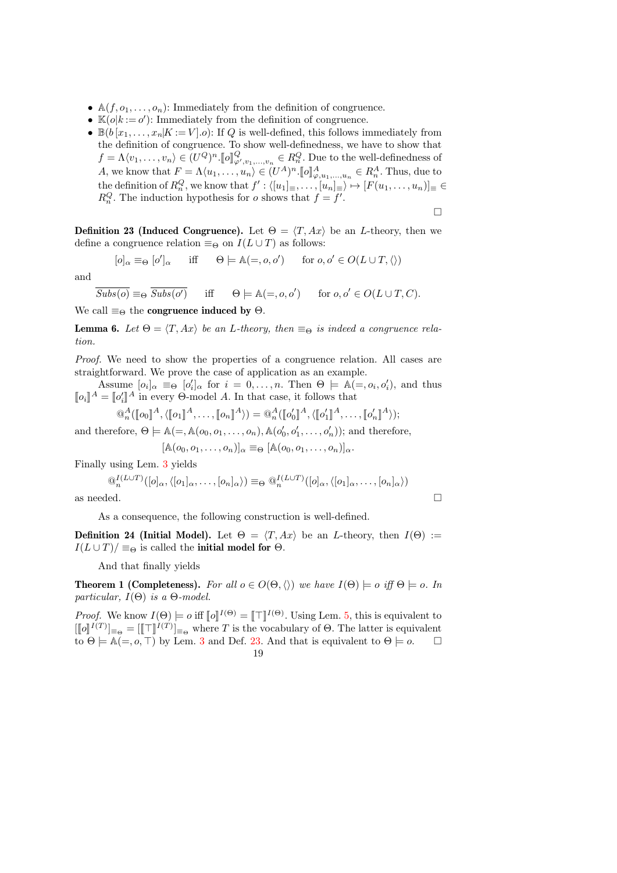- $A(f, o_1, \ldots, o_n)$ : Immediately from the definition of congruence.
- $\mathbb{K}(o|k := o')$ : Immediately from the definition of congruence.
- $\mathbb{B}(b[x_1,\ldots,x_n|K:=V].o)$ : If Q is well-defined, this follows immediately from the definition of congruence. To show well-definedness, we have to show that  $f = \Lambda \langle v_1, \ldots, v_n \rangle \in (U^Q)^n \cdot [\![v]\!]_{\varphi', v_1, \ldots, v_n}^Q \in R_n^Q$ . Due to the well-definedness of A, we know that  $F = \Lambda \langle u_1, \ldots, u_n \rangle \in (U^A)^n \cdot [0]_{\varphi, u_1, \ldots, u_n}^A \in R_n^A$ . Thus, due to the definition of  $R_n^Q$ , we know that  $f': \langle [u_1]_\equiv, \ldots, [u_n]_\equiv \rangle \mapsto [F(u_1, \ldots, u_n)]_\equiv \in$  $R_n^Q$ . The induction hypothesis for *o* shows that  $f = f'$ .

 $\Box$ 

<span id="page-18-0"></span>**Definition 23 (Induced Congruence).** Let  $\Theta = \langle T, Ax \rangle$  be an *L*-theory, then we define a congruence relation  $\equiv_{\Theta}$  on  $I(L \cup T)$  as follows:

$$
[o]_{\alpha} \equiv_{\Theta} [o']_{\alpha}
$$
 iff  $\Theta \models A(=, o, o')$  for  $o, o' \in O(L \cup T, \langle \rangle)$ 

and

$$
\overline{Subs(o)} \equiv_{\Theta} \overline{Subs(o')} \quad \text{iff} \quad \Theta \models \mathbb{A}(=, o, o') \quad \text{for } o, o' \in O(L \cup T, C).
$$

We call  $\equiv_{\Theta}$  the congruence induced by  $\Theta$ .

**Lemma 6.** Let  $\Theta = \langle T, Ax \rangle$  be an L-theory, then  $\equiv_{\Theta}$  is indeed a congruence relation.

Proof. We need to show the properties of a congruence relation. All cases are straightforward. We prove the case of application as an example.

Assume  $[o_i]_{\alpha} \equiv_{\Theta} [o'_i]_{\alpha}$  for  $i = 0, \ldots, n$ . Then  $\Theta \models A = o_i, o'_i$ , and thus  $[\![o_i]\!]^A = [\![o'_i]\!]^A$  in every Θ-model A. In that case, it follows that

$$
\mathbb{Q}_n^A([\![o_0]\!]^A, \langle [\![o_1]\!]^A, \dots, [\![o_n]\!]^A \rangle) = \mathbb{Q}_n^A([\![o'_0]\!]^A, \langle [\![o'_1]\!]^A, \dots, [\![o'_n]\!]^A \rangle);
$$
  
and therefore, 
$$
\Theta \models \mathbb{A} (= \mathbb{A}(o_0, o_1, \dots, o_n), \mathbb{A}(o'_0, o'_1, \dots, o'_n));
$$
 and therefore,

$$
[\mathbb{A}(o_0, o_1, \ldots, o_n)]_{\alpha} \equiv_{\Theta} [\mathbb{A}(o_0, o_1, \ldots, o_n)]_{\alpha}.
$$

Finally using Lem. [3](#page-13-0) yields

$$
\mathbb{Q}_n^{I(L\cup T)}([o]_\alpha,\langle [o_1]_\alpha,\ldots,[o_n]_\alpha\rangle)\equiv_{\Theta}\mathbb{Q}_n^{I(L\cup T)}([o]_\alpha,\langle [o_1]_\alpha,\ldots,[o_n]_\alpha\rangle)
$$

as needed.  $\Box$ 

As a consequence, the following construction is well-defined.

**Definition 24 (Initial Model).** Let  $\Theta = \langle T, Ax \rangle$  be an L-theory, then  $I(\Theta) :=$  $I(L \cup T)/ \equiv_{\Theta}$  is called the **initial model for**  $\Theta$ .

And that finally yields

**Theorem 1 (Completeness).** For all  $o \in O(\Theta, \langle \rangle)$  we have  $I(\Theta) \models o$  iff  $\Theta \models o$ . In particular,  $I(\Theta)$  is a  $\Theta$ -model.

Proof. We know  $I(\Theta) \models o$  iff  $[\![\![o]\!]^{I(\Theta)} = [\![\top]\!]^{I(\Theta)}$ . Using Lem. [5,](#page-17-2) this is equivalent to  $[\![\top]\!]^{I(T)}$  where T is the receptibility of  $\Theta$ . The letter is equivalent [JoK I(T) ]<sup>≡</sup><sup>Θ</sup> = [J><sup>K</sup> I(T) ]<sup>≡</sup><sup>Θ</sup> where T is the vocabulary of Θ. The latter is equivalent to  $\Theta \models \mathbb{A}(\equiv, 0, \top)$  by Lem. [3](#page-13-0) and Def. [23.](#page-18-0) And that is equivalent to  $\Theta \models o$ .  $\Box$ 

19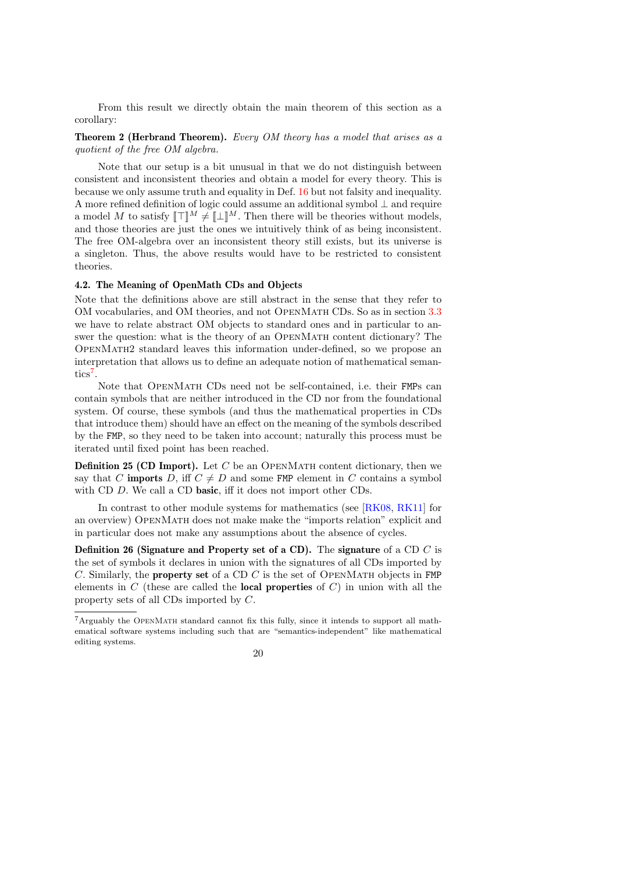From this result we directly obtain the main theorem of this section as a corollary:

## <span id="page-19-1"></span>Theorem 2 (Herbrand Theorem). Every OM theory has a model that arises as a quotient of the free OM algebra.

Note that our setup is a bit unusual in that we do not distinguish between consistent and inconsistent theories and obtain a model for every theory. This is because we only assume truth and equality in Def. [16](#page-16-1) but not falsity and inequality. A more refined definition of logic could assume an additional symbol ⊥ and require a model M to satisfy  $\llbracket \top \rrbracket^M \neq \llbracket \bot \rrbracket^M$ . Then there will be theories without models, and those theories are just the ones we intuitively think of as being inconsistent. The free OM-algebra over an inconsistent theory still exists, but its universe is a singleton. Thus, the above results would have to be restricted to consistent theories.

#### 4.2. The Meaning of OpenMath CDs and Objects

Note that the definitions above are still abstract in the sense that they refer to OM vocabularies, and OM theories, and not OpenMath CDs. So as in section [3.3](#page-14-0) we have to relate abstract OM objects to standard ones and in particular to answer the question: what is the theory of an OpenMath content dictionary? The OpenMath2 standard leaves this information under-defined, so we propose an interpretation that allows us to define an adequate notion of mathematical seman-tics<sup>[7](#page-19-0)</sup>.

Note that OpenMath CDs need not be self-contained, i.e. their FMPs can contain symbols that are neither introduced in the CD nor from the foundational system. Of course, these symbols (and thus the mathematical properties in CDs that introduce them) should have an effect on the meaning of the symbols described by the FMP, so they need to be taken into account; naturally this process must be iterated until fixed point has been reached.

**Definition 25 (CD Import).** Let C be an OPENMATH content dictionary, then we say that C **imports** D, iff  $C \neq D$  and some FMP element in C contains a symbol with CD D. We call a CD **basic**, iff it does not import other CDs.

In contrast to other module systems for mathematics (see [\[RK08,](#page-28-10) [RK11\]](#page-28-11) for an overview) OpenMath does not make make the "imports relation" explicit and in particular does not make any assumptions about the absence of cycles.

Definition 26 (Signature and Property set of a CD). The signature of a CD  $C$  is the set of symbols it declares in union with the signatures of all CDs imported by C. Similarly, the **property set** of a CD C is the set of OPENMATH objects in FMP elements in  $C$  (these are called the **local properties** of  $C$ ) in union with all the property sets of all CDs imported by C.

<span id="page-19-0"></span><sup>7</sup>Arguably the OpenMath standard cannot fix this fully, since it intends to support all mathematical software systems including such that are "semantics-independent" like mathematical editing systems.

<sup>20</sup>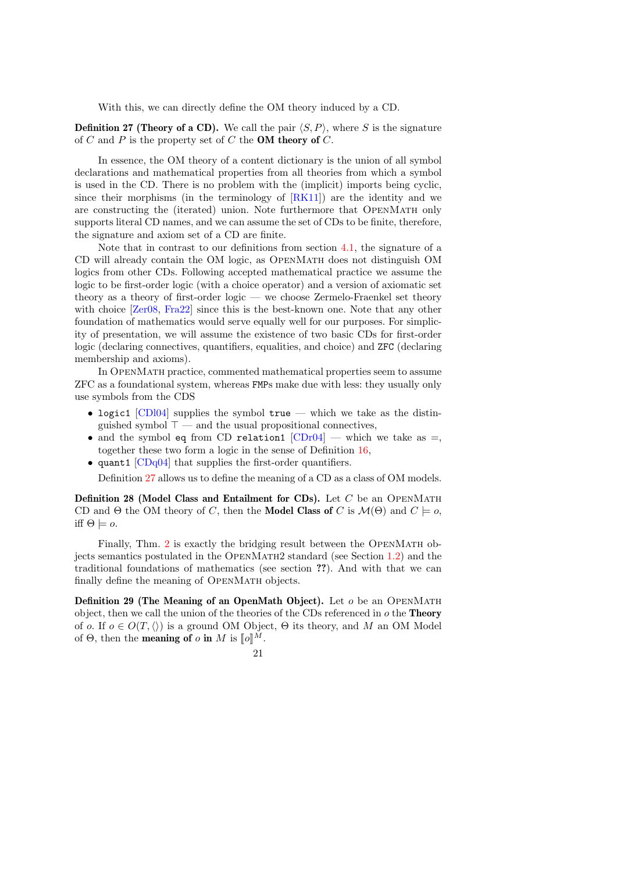With this, we can directly define the OM theory induced by a CD.

<span id="page-20-0"></span>**Definition 27 (Theory of a CD).** We call the pair  $\langle S, P \rangle$ , where S is the signature of C and P is the property set of C the **OM theory of** C.

In essence, the OM theory of a content dictionary is the union of all symbol declarations and mathematical properties from all theories from which a symbol is used in the CD. There is no problem with the (implicit) imports being cyclic, since their morphisms (in the terminology of [\[RK11\]](#page-28-11)) are the identity and we are constructing the (iterated) union. Note furthermore that OpenMath only supports literal CD names, and we can assume the set of CDs to be finite, therefore, the signature and axiom set of a CD are finite.

Note that in contrast to our definitions from section [4.1,](#page-16-2) the signature of a CD will already contain the OM logic, as OpenMath does not distinguish OM logics from other CDs. Following accepted mathematical practice we assume the logic to be first-order logic (with a choice operator) and a version of axiomatic set theory as a theory of first-order logic — we choose Zermelo-Fraenkel set theory with choice [\[Zer08,](#page-28-12) [Fra22\]](#page-28-13) since this is the best-known one. Note that any other foundation of mathematics would serve equally well for our purposes. For simplicity of presentation, we will assume the existence of two basic CDs for first-order logic (declaring connectives, quantifiers, equalities, and choice) and ZFC (declaring membership and axioms).

In OpenMath practice, commented mathematical properties seem to assume ZFC as a foundational system, whereas FMPs make due with less: they usually only use symbols from the CDS

- logic1 [\[CDl04\]](#page-27-7) supplies the symbol  $true$  which we take as the distinguished symbol  $\top$  — and the usual propositional connectives,
- and the symbol eq from CD relation1  $[CDr04]$  which we take as =, together these two form a logic in the sense of Definition [16,](#page-16-1)
- quant1  $[CDq04]$  that supplies the first-order quantifiers.

Definition [27](#page-20-0) allows us to define the meaning of a CD as a class of OM models.

Definition 28 (Model Class and Entailment for CDs). Let  $C$  be an OPENMATH CD and  $\Theta$  the OM theory of C, then the **Model Class of** C is  $\mathcal{M}(\Theta)$  and  $C \models o$ , iff  $\Theta \models o$ .

Finally, Thm. [2](#page-19-1) is exactly the bridging result between the OPENMATH objects semantics postulated in the OpenMath2 standard (see Section [1.2\)](#page-2-0) and the traditional foundations of mathematics (see section ??). And with that we can finally define the meaning of OPENMATH objects.

**Definition 29 (The Meaning of an OpenMath Object).** Let  $o$  be an OPENMATH object, then we call the union of the theories of the CDs referenced in  $o$  the **Theory** of o. If  $o \in O(T, \langle \rangle)$  is a ground OM Object,  $\Theta$  its theory, and M an OM Model of  $\Theta$ , then the **meaning of**  $o$  **in**  $M$  is  $\llbracket o \rrbracket^M$ .

21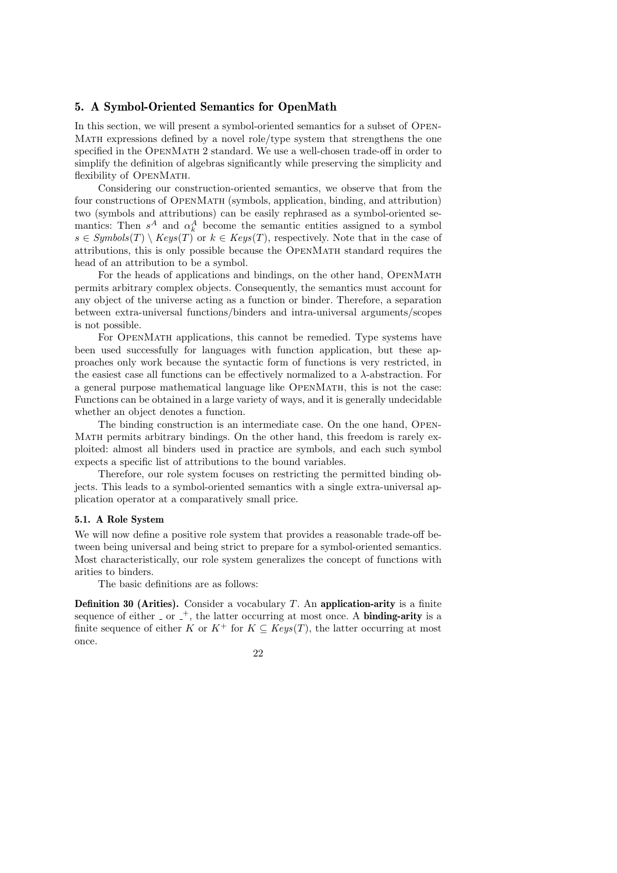# <span id="page-21-0"></span>5. A Symbol-Oriented Semantics for OpenMath

In this section, we will present a symbol-oriented semantics for a subset of Open-Math expressions defined by a novel role/type system that strengthens the one specified in the OPENMATH 2 standard. We use a well-chosen trade-off in order to simplify the definition of algebras significantly while preserving the simplicity and flexibility of OPENMATH.

Considering our construction-oriented semantics, we observe that from the four constructions of OpenMath (symbols, application, binding, and attribution) two (symbols and attributions) can be easily rephrased as a symbol-oriented semantics: Then  $s^A$  and  $\alpha_k^A$  become the semantic entities assigned to a symbol  $s \in Symbols(T) \setminus Keys(T)$  or  $k \in Keys(T)$ , respectively. Note that in the case of attributions, this is only possible because the OpenMath standard requires the head of an attribution to be a symbol.

For the heads of applications and bindings, on the other hand, OPENMATH permits arbitrary complex objects. Consequently, the semantics must account for any object of the universe acting as a function or binder. Therefore, a separation between extra-universal functions/binders and intra-universal arguments/scopes is not possible.

For OpenMath applications, this cannot be remedied. Type systems have been used successfully for languages with function application, but these approaches only work because the syntactic form of functions is very restricted, in the easiest case all functions can be effectively normalized to a  $\lambda$ -abstraction. For a general purpose mathematical language like OpenMath, this is not the case: Functions can be obtained in a large variety of ways, and it is generally undecidable whether an object denotes a function.

The binding construction is an intermediate case. On the one hand, Open-Math permits arbitrary bindings. On the other hand, this freedom is rarely exploited: almost all binders used in practice are symbols, and each such symbol expects a specific list of attributions to the bound variables.

Therefore, our role system focuses on restricting the permitted binding objects. This leads to a symbol-oriented semantics with a single extra-universal application operator at a comparatively small price.

#### 5.1. A Role System

We will now define a positive role system that provides a reasonable trade-off between being universal and being strict to prepare for a symbol-oriented semantics. Most characteristically, our role system generalizes the concept of functions with arities to binders.

The basic definitions are as follows:

**Definition 30 (Arities).** Consider a vocabulary  $T$ . An application-arity is a finite sequence of either  $\Box$  or  $\Box$ <sup>+</sup>, the latter occurring at most once. A **binding-arity** is a finite sequence of either K or  $K^+$  for  $K \subseteq Keys(T)$ , the latter occurring at most once.

22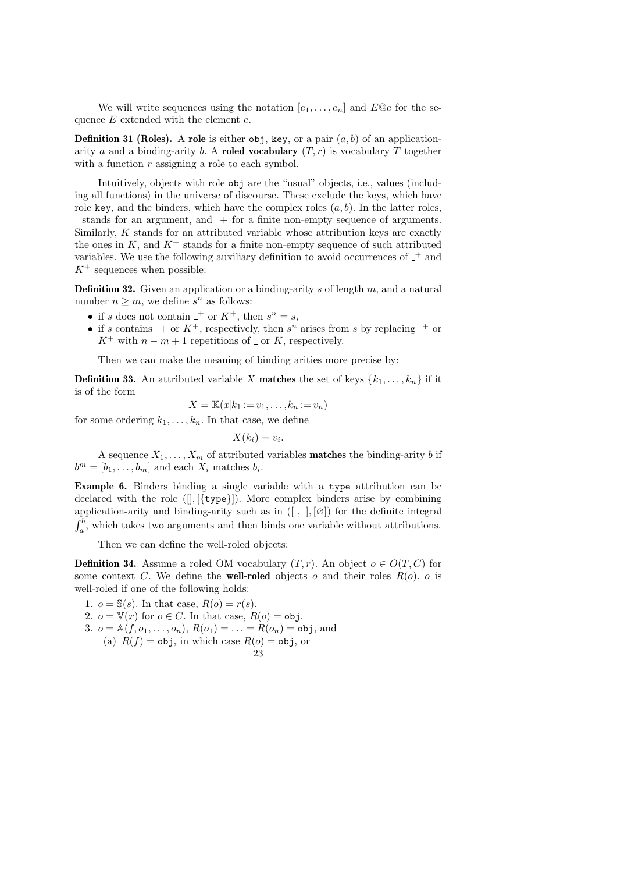We will write sequences using the notation  $[e_1, \ldots, e_n]$  and  $E@e$  for the sequence  $E$  extended with the element  $e$ .

**Definition 31 (Roles).** A role is either obj, key, or a pair  $(a, b)$  of an applicationarity a and a binding-arity b. A roled vocabulary  $(T, r)$  is vocabulary T together with a function  $r$  assigning a role to each symbol.

Intuitively, objects with role obj are the "usual" objects, i.e., values (including all functions) in the universe of discourse. These exclude the keys, which have role key, and the binders, which have the complex roles  $(a, b)$ . In the latter roles,  $-$  stands for an argument, and  $-+$  for a finite non-empty sequence of arguments. Similarly, K stands for an attributed variable whose attribution keys are exactly the ones in K, and  $K^+$  stands for a finite non-empty sequence of such attributed variables. We use the following auxiliary definition to avoid occurrences of  $-$ <sup>+</sup> and  $K^+$  sequences when possible:

**Definition 32.** Given an application or a binding-arity  $s$  of length  $m$ , and a natural number  $n \geq m$ , we define  $s^n$  as follows:

- if s does not contain  $-$ <sup>+</sup> or  $K$ <sup>+</sup>, then  $s^n = s$ ,
- if s contains  $+$  or  $K^+$ , respectively, then  $s^n$  arises from s by replacing  $-$  or  $K^+$  with  $n - m + 1$  repetitions of  $\Box$  or K, respectively.

Then we can make the meaning of binding arities more precise by:

**Definition 33.** An attributed variable X **matches** the set of keys  $\{k_1, \ldots, k_n\}$  if it is of the form

$$
X = \mathbb{K}(x|k_1 := v_1, \dots, k_n := v_n)
$$

for some ordering  $k_1, \ldots, k_n$ . In that case, we define

$$
X(k_i) = v_i.
$$

A sequence  $X_1, \ldots, X_m$  of attributed variables **matches** the binding-arity b if  $b^m = [b_1, \ldots, b_m]$  and each  $X_i$  matches  $b_i$ .

Example 6. Binders binding a single variable with a type attribution can be declared with the role ([], [{type}]). More complex binders arise by combining application-arity and binding-arity such as in  $([-,-], [\varnothing])$  for the definite integral  $\int_a^b$ , which takes two arguments and then binds one variable without attributions.

Then we can define the well-roled objects:

<span id="page-22-0"></span>**Definition 34.** Assume a roled OM vocabulary  $(T, r)$ . An object  $o \in O(T, C)$  for some context C. We define the **well-roled** objects o and their roles  $R(o)$ . o is well-roled if one of the following holds:

\n- 1. 
$$
o = \mathbb{S}(s)
$$
. In that case,  $R(o) = r(s)$ .
\n- 2.  $o = \mathbb{V}(x)$  for  $o \in C$ . In that case,  $R(o) = \text{obj}$ .
\n- 3.  $o = \mathbb{A}(f, o_1, \ldots, o_n)$ ,  $R(o_1) = \ldots = R(o_n) = \text{obj}$ , and
\n- (a)  $R(f) = \text{obj}$ , in which case  $R(o) = \text{obj}$ , or
\n- 23
\n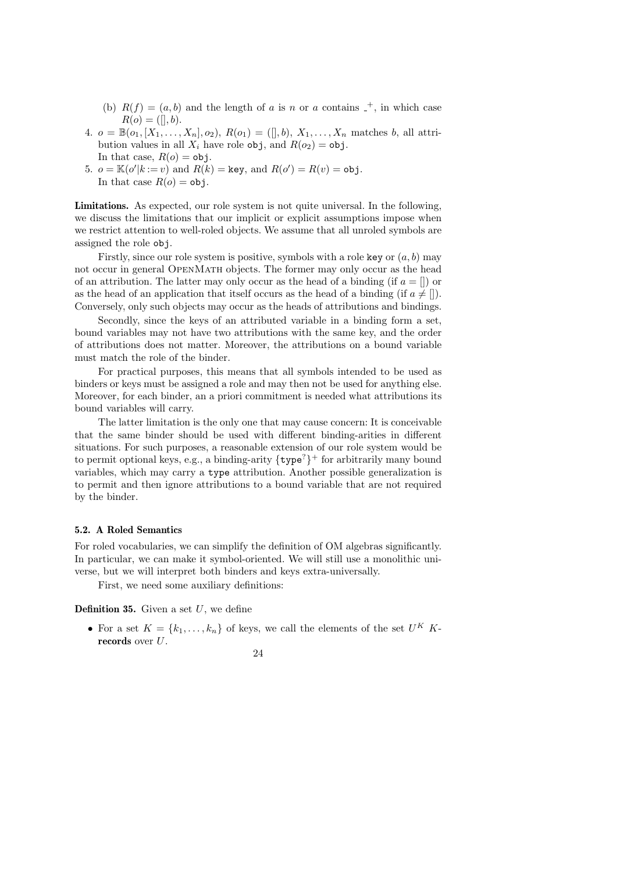- (b)  $R(f) = (a, b)$  and the length of a is n or a contains  $-$ <sup>+</sup>, in which case  $R(o) = ([], b).$
- 4.  $o = \mathbb{B}(o_1, [X_1, \ldots, X_n], o_2), R(o_1) = ([], b), X_1, \ldots, X_n$  matches b, all attribution values in all  $X_i$  have role obj, and  $R(o_2) =$  obj. In that case,  $R(o) = obj.$
- 5.  $o = \mathbb{K}(o'|k := v)$  and  $R(k) = \text{key}$ , and  $R(o') = R(v) = \text{obj}$ . In that case  $R(o) = obj.$

Limitations. As expected, our role system is not quite universal. In the following, we discuss the limitations that our implicit or explicit assumptions impose when we restrict attention to well-roled objects. We assume that all unroled symbols are assigned the role obj.

Firstly, since our role system is positive, symbols with a role key or  $(a, b)$  may not occur in general OpenMath objects. The former may only occur as the head of an attribution. The latter may only occur as the head of a binding (if  $a = []$ ) or as the head of an application that itself occurs as the head of a binding (if  $a \neq ||$ ). Conversely, only such objects may occur as the heads of attributions and bindings.

Secondly, since the keys of an attributed variable in a binding form a set, bound variables may not have two attributions with the same key, and the order of attributions does not matter. Moreover, the attributions on a bound variable must match the role of the binder.

For practical purposes, this means that all symbols intended to be used as binders or keys must be assigned a role and may then not be used for anything else. Moreover, for each binder, an a priori commitment is needed what attributions its bound variables will carry.

The latter limitation is the only one that may cause concern: It is conceivable that the same binder should be used with different binding-arities in different situations. For such purposes, a reasonable extension of our role system would be to permit optional keys, e.g., a binding-arity  $\{ \text{type}^? \}^+$  for arbitrarily many bound variables, which may carry a type attribution. Another possible generalization is to permit and then ignore attributions to a bound variable that are not required by the binder.

#### 5.2. A Roled Semantics

For roled vocabularies, we can simplify the definition of OM algebras significantly. In particular, we can make it symbol-oriented. We will still use a monolithic universe, but we will interpret both binders and keys extra-universally.

First, we need some auxiliary definitions:

**Definition 35.** Given a set  $U$ , we define

• For a set  $K = \{k_1, \ldots, k_n\}$  of keys, we call the elements of the set  $U^K$  Krecords over U.

24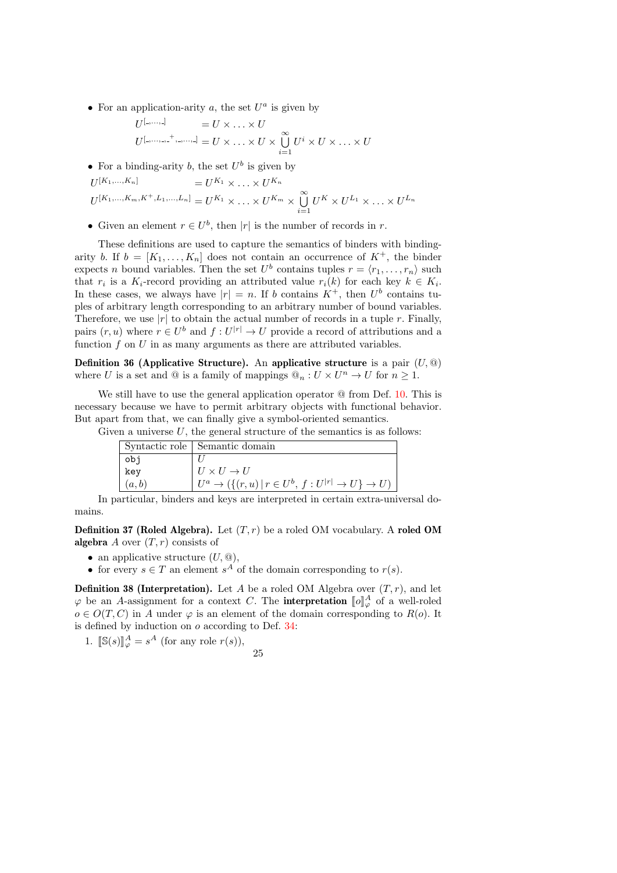• For an application-arity a, the set  $U^a$  is given by

$$
U^{[.,...,]} = U \times \ldots \times U
$$
  

$$
U^{[.,...,,-},+,...,-] = U \times \ldots \times U \times \bigcup_{i=1}^{\infty} U^i \times U \times \ldots \times U
$$

• For a binding-arity b, the set  $U^b$  is given by

$$
U^{[K_1, ..., K_n]} = U^{K_1} \times ... \times U^{K_n}
$$
  

$$
U^{[K_1, ..., K_m, K^+, L_1, ..., L_n]} = U^{K_1} \times ... \times U^{K_m} \times \bigcup_{i=1}^{\infty} U^K \times U^{L_1} \times ... \times U^{L_n}
$$

• Given an element  $r \in U^b$ , then  $|r|$  is the number of records in r.

These definitions are used to capture the semantics of binders with bindingarity b. If  $b = [K_1, \ldots, K_n]$  does not contain an occurrence of  $K^+$ , the binder expects *n* bound variables. Then the set  $U^b$  contains tuples  $r = \langle r_1, \ldots, r_n \rangle$  such that  $r_i$  is a  $K_i$ -record providing an attributed value  $r_i(k)$  for each key  $k \in K_i$ . In these cases, we always have  $|r| = n$ . If b contains  $K^+$ , then  $U^b$  contains tuples of arbitrary length corresponding to an arbitrary number of bound variables. Therefore, we use  $|r|$  to obtain the actual number of records in a tuple r. Finally, pairs  $(r, u)$  where  $r \in U^b$  and  $f: U^{|r|} \to U$  provide a record of attributions and a function  $f$  on  $U$  in as many arguments as there are attributed variables.

**Definition 36 (Applicative Structure).** An applicative structure is a pair  $(U, \mathcal{Q})$ where U is a set and  $\mathcal Q$  is a family of mappings  $\mathcal Q_n : U \times U^n \to U$  for  $n \geq 1$ .

We still have to use the general application operator  $\Phi$  from Def. [10.](#page-10-2) This is necessary because we have to permit arbitrary objects with functional behavior. But apart from that, we can finally give a symbol-oriented semantics.

Given a universe  $U$ , the general structure of the semantics is as follows:

|       | Syntactic role   Semantic domain                                                    |
|-------|-------------------------------------------------------------------------------------|
| obi   |                                                                                     |
| kev   | $U \times U \rightarrow U$                                                          |
| (a,b) | $U^a \rightarrow (\{(r, u)   r \in U^b, f : U^{ r } \rightarrow U\} \rightarrow U)$ |

In particular, binders and keys are interpreted in certain extra-universal domains.

**Definition 37 (Roled Algebra).** Let  $(T, r)$  be a roled OM vocabulary. A roled OM algebra A over  $(T, r)$  consists of

- an applicative structure  $(U, \mathcal{Q})$ ,
- for every  $s \in T$  an element  $s^A$  of the domain corresponding to  $r(s)$ .

**Definition 38 (Interpretation).** Let A be a roled OM Algebra over  $(T, r)$ , and let  $\varphi$  be an A-assignment for a context C. The **interpretation**  $[\![\mathbf{0}]\!]_q^A$  of a well-roled  $o \in O(T, C)$  in A under  $\varphi$  is an element of the domain corresponding to  $R(o)$ . It is defined by induction on o according to Def. [34:](#page-22-0)

1.  $[\mathbb{S}(s)]_{\varphi}^{A} = s^{A}$  (for any role  $r(s)$ ),

$$
25\,
$$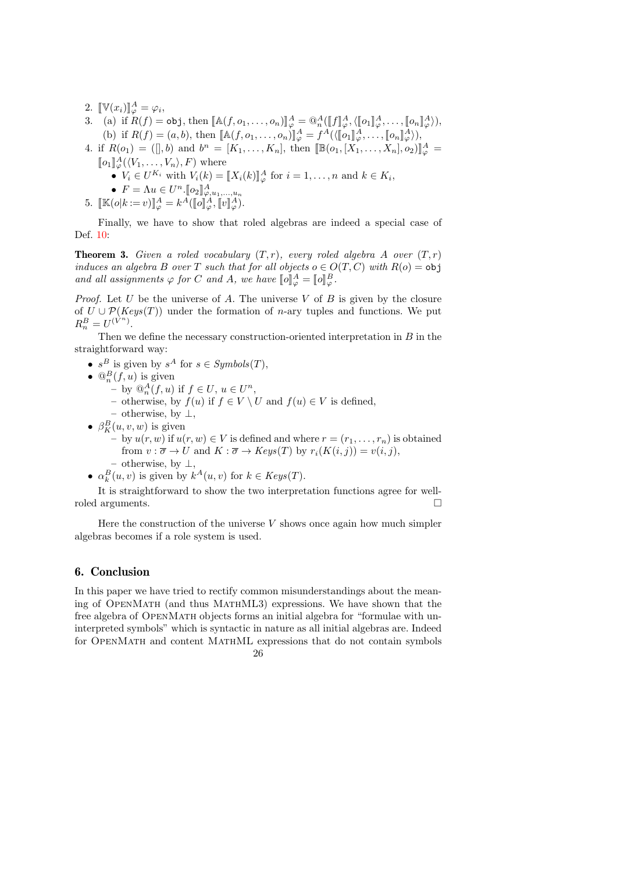- 2.  $[\mathbb{V}(x_i)]_{\varphi}^A = \varphi_i,$ <br>  $\vdots$   $P(f)$
- 3. (a) if  $R(f) = \text{obj}$ , then  $\llbracket A(f, o_1, \ldots, o_n) \rrbracket_{\varphi}^A = \mathcal{Q}_A^A (\llbracket f \rrbracket_A^A, \langle \llbracket o_1 \rrbracket_A^A, \ldots, \llbracket o_n \rrbracket_A^A)$ ,  $\llbracket o_1 \rrbracket_{\varphi}^A, \ldots, \llbracket o_n \rrbracket_{\varphi}^A, \ldots, \llbracket o_n \rrbracket_{\varphi}^A, \ldots, \llbracket o_n \rrbracket_{\varphi}^A, \ldots, \llbracket o_n \rrbracket_{\$ (b) if  $R(f) = (a, b)$ , then  $\llbracket A(f, o_1, \ldots, o_n) \rrbracket_{\varphi}^A = f^A(\langle \llbracket o_1 \rrbracket_{\varphi}^A, \ldots, \llbracket o_n \rrbracket_{\varphi}^A)$
- 4. if  $R(o_1) = ([, b)$  and  $b^n = [K_1, \ldots, K_n]$ , then  $[\mathbb{B}(o_1, [X_1, \ldots, X_n], o_2)]_{\varphi}^A =$  $[\![o_1]\!]_{\varphi}^A(\langle V_1,\ldots,V_n\rangle,F)$  where
	- $V_i \in U^{K_i}$  with  $V_i(k) = [X_i(k)]_{\varphi}^A$  for  $i = 1, \ldots, n$  and  $k \in K_i$ ,
	-
- $F = \Lambda u \in U^{n}$ .  $[o_2]_{\varphi, u_1, ..., u_n}^{\beta}$ <br>
5.  $[\mathbb{K}(o|k := v)]_{\varphi}^A = k^A([\![o]\!]_{\varphi}^{\beta}, [\![v]\!]_{\varphi}^A)$ .

Finally, we have to show that roled algebras are indeed a special case of Def. [10:](#page-10-2)

**Theorem 3.** Given a roled vocabulary  $(T, r)$ , every roled algebra A over  $(T, r)$ induces an algebra B over T such that for all objects  $o \in O(T, C)$  with  $R(o) = obj$ and all assignments  $\varphi$  for C and A, we have  $[\![o]\!]_{\varphi}^{A} = [\![o]\!]_{\varphi}^{B}$ .

*Proof.* Let U be the universe of A. The universe V of B is given by the closure of  $U \cup \mathcal{P}(Keys(T))$  under the formation of *n*-ary tuples and functions. We put  $R_n^B = U^{(\dot{V}^n)}$ .

Then we define the necessary construction-oriented interpretation in  $B$  in the straightforward way:

- $s^B$  is given by  $s^A$  for  $s \in Symbols(T)$ ,
- $\mathbb{Q}_n^B(f, u)$  is given
	- $-$  by  $\mathbb{Q}_n^A(f, u)$  if  $f \in U$ ,  $u \in U^n$ ,
	- otherwise, by  $f(u)$  if  $f \in V \setminus U$  and  $f(u) \in V$  is defined,
	- otherwise, by ⊥,
- $\beta_K^B(u, v, w)$  is given
	- by  $u(r, w)$  if  $u(r, w) \in V$  is defined and where  $r = (r_1, \ldots, r_n)$  is obtained from  $v : \overline{\sigma} \to U$  and  $K : \overline{\sigma} \to Keys(T)$  by  $r_i(K(i, j)) = v(i, j)$ , – otherwise, by ⊥,
- $\alpha_k^B(u, v)$  is given by  $k^A(u, v)$  for  $k \in Keys(T)$ .

It is straightforward to show the two interpretation functions agree for wellroled arguments.

Here the construction of the universe  $V$  shows once again how much simpler algebras becomes if a role system is used.

# <span id="page-25-0"></span>6. Conclusion

In this paper we have tried to rectify common misunderstandings about the meaning of OpenMath (and thus MathML3) expressions. We have shown that the free algebra of OPENMATH objects forms an initial algebra for "formulae with uninterpreted symbols" which is syntactic in nature as all initial algebras are. Indeed for OpenMath and content MathML expressions that do not contain symbols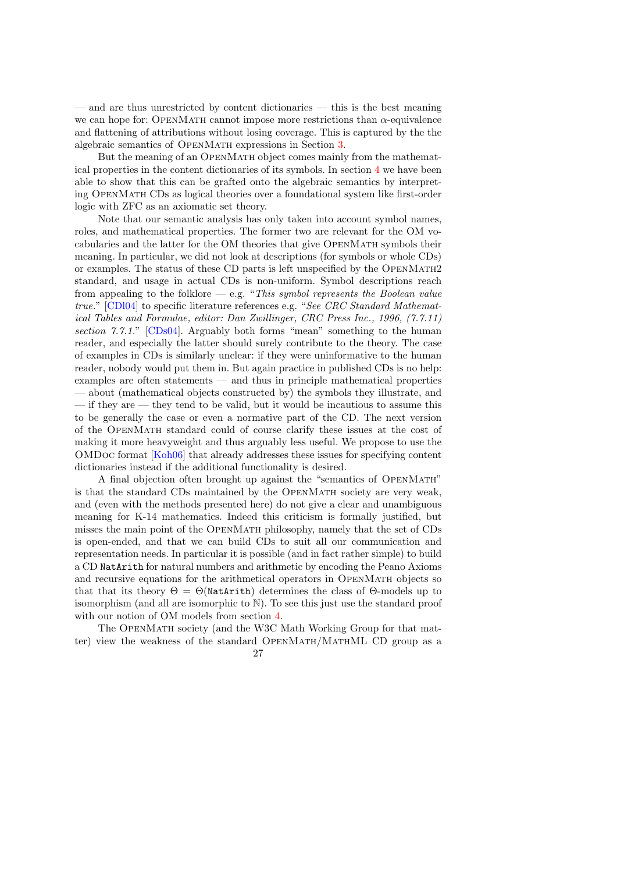— and are thus unrestricted by content dictionaries — this is the best meaning we can hope for: OPENMATH cannot impose more restrictions than  $\alpha$ -equivalence and flattening of attributions without losing coverage. This is captured by the the algebraic semantics of OpenMath expressions in Section [3.](#page-7-0)

But the meaning of an OpenMath object comes mainly from the mathematical properties in the content dictionaries of its symbols. In section [4](#page-15-0) we have been able to show that this can be grafted onto the algebraic semantics by interpreting OpenMath CDs as logical theories over a foundational system like first-order logic with ZFC as an axiomatic set theory.

Note that our semantic analysis has only taken into account symbol names, roles, and mathematical properties. The former two are relevant for the OM vocabularies and the latter for the OM theories that give OpenMath symbols their meaning. In particular, we did not look at descriptions (for symbols or whole CDs) or examples. The status of these CD parts is left unspecified by the OpenMath2 standard, and usage in actual CDs is non-uniform. Symbol descriptions reach from appealing to the folklore — e.g. "This symbol represents the Boolean value true." [\[CDl04\]](#page-27-7) to specific literature references e.g. "See CRC Standard Mathematical Tables and Formulae, editor: Dan Zwillinger, CRC Press Inc., 1996, (7.7.11) section  $7.7.1$ ." [\[CDs04\]](#page-27-10). Arguably both forms "mean" something to the human reader, and especially the latter should surely contribute to the theory. The case of examples in CDs is similarly unclear: if they were uninformative to the human reader, nobody would put them in. But again practice in published CDs is no help: examples are often statements — and thus in principle mathematical properties — about (mathematical objects constructed by) the symbols they illustrate, and — if they are — they tend to be valid, but it would be incautious to assume this to be generally the case or even a normative part of the CD. The next version of the OpenMath standard could of course clarify these issues at the cost of making it more heavyweight and thus arguably less useful. We propose to use the OMDoc format [\[Koh06\]](#page-28-14) that already addresses these issues for specifying content dictionaries instead if the additional functionality is desired.

A final objection often brought up against the "semantics of OpenMath" is that the standard CDs maintained by the OpenMath society are very weak, and (even with the methods presented here) do not give a clear and unambiguous meaning for K-14 mathematics. Indeed this criticism is formally justified, but misses the main point of the OPENMATH philosophy, namely that the set of CDs is open-ended, and that we can build CDs to suit all our communication and representation needs. In particular it is possible (and in fact rather simple) to build a CD NatArith for natural numbers and arithmetic by encoding the Peano Axioms and recursive equations for the arithmetical operators in OpenMath objects so that that its theory  $\Theta = \Theta$ (NatArith) determines the class of  $\Theta$ -models up to isomorphism (and all are isomorphic to N). To see this just use the standard proof with our notion of OM models from section [4.](#page-15-0)

The OpenMath society (and the W3C Math Working Group for that matter) view the weakness of the standard OPENMATH/MATHML CD group as a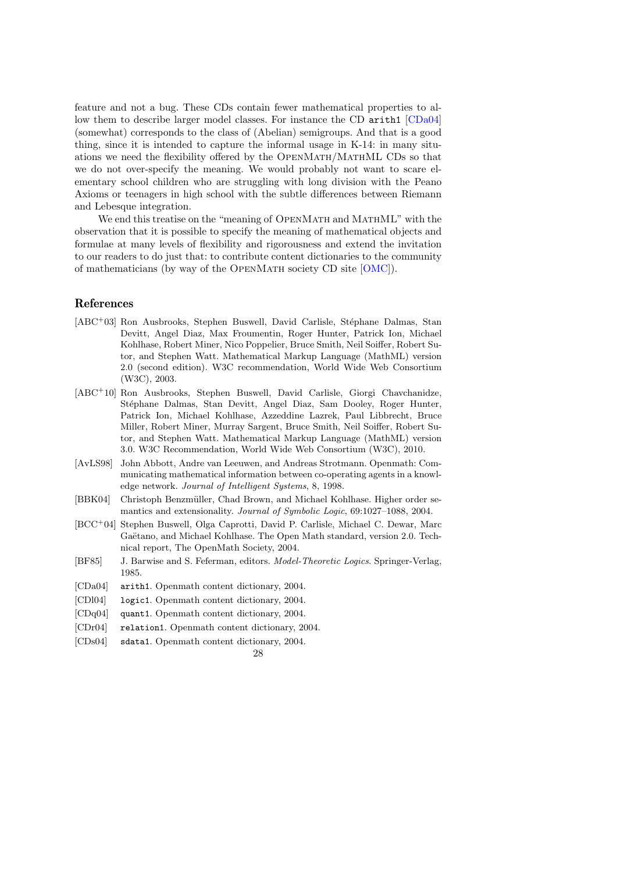feature and not a bug. These CDs contain fewer mathematical properties to al-low them to describe larger model classes. For instance the CD arith1 [\[CDa04\]](#page-27-6) (somewhat) corresponds to the class of (Abelian) semigroups. And that is a good thing, since it is intended to capture the informal usage in K-14: in many situations we need the flexibility offered by the OpenMath/MathML CDs so that we do not over-specify the meaning. We would probably not want to scare elementary school children who are struggling with long division with the Peano Axioms or teenagers in high school with the subtle differences between Riemann and Lebesque integration.

We end this treatise on the "meaning of OPENMATH and MATHML" with the observation that it is possible to specify the meaning of mathematical objects and formulae at many levels of flexibility and rigorousness and extend the invitation to our readers to do just that: to contribute content dictionaries to the community of mathematicians (by way of the OpenMath society CD site [\[OMC\]](#page-28-0)).

## References

- <span id="page-27-0"></span>[ABC<sup>+</sup>03] Ron Ausbrooks, Stephen Buswell, David Carlisle, Stéphane Dalmas, Stan Devitt, Angel Diaz, Max Froumentin, Roger Hunter, Patrick Ion, Michael Kohlhase, Robert Miner, Nico Poppelier, Bruce Smith, Neil Soiffer, Robert Sutor, and Stephen Watt. Mathematical Markup Language (MathML) version 2.0 (second edition). W3C recommendation, World Wide Web Consortium (W3C), 2003.
- <span id="page-27-2"></span>[ABC<sup>+</sup>10] Ron Ausbrooks, Stephen Buswell, David Carlisle, Giorgi Chavchanidze, Stéphane Dalmas, Stan Devitt, Angel Diaz, Sam Dooley, Roger Hunter, Patrick Ion, Michael Kohlhase, Azzeddine Lazrek, Paul Libbrecht, Bruce Miller, Robert Miner, Murray Sargent, Bruce Smith, Neil Soiffer, Robert Sutor, and Stephen Watt. Mathematical Markup Language (MathML) version 3.0. W3C Recommendation, World Wide Web Consortium (W3C), 2010.
- <span id="page-27-3"></span>[AvLS98] John Abbott, Andre van Leeuwen, and Andreas Strotmann. Openmath: Communicating mathematical information between co-operating agents in a knowledge network. Journal of Intelligent Systems, 8, 1998.
- <span id="page-27-5"></span>[BBK04] Christoph Benzmüller, Chad Brown, and Michael Kohlhase. Higher order semantics and extensionality. Journal of Symbolic Logic, 69:1027–1088, 2004.
- <span id="page-27-1"></span>[BCC<sup>+</sup>04] Stephen Buswell, Olga Caprotti, David P. Carlisle, Michael C. Dewar, Marc Gaëtano, and Michael Kohlhase. The Open Math standard, version 2.0. Technical report, The OpenMath Society, 2004.
- <span id="page-27-4"></span>[BF85] J. Barwise and S. Feferman, editors. Model-Theoretic Logics. Springer-Verlag, 1985.
- <span id="page-27-6"></span>[CDa04] arith1. Openmath content dictionary, 2004.
- <span id="page-27-7"></span>[CDl04] logic1. Openmath content dictionary, 2004.
- <span id="page-27-9"></span>[CDq04] quant1. Openmath content dictionary, 2004.
- <span id="page-27-8"></span>[CDr04] relation1. Openmath content dictionary, 2004.
- <span id="page-27-10"></span>[CDs04] sdata1. Openmath content dictionary, 2004.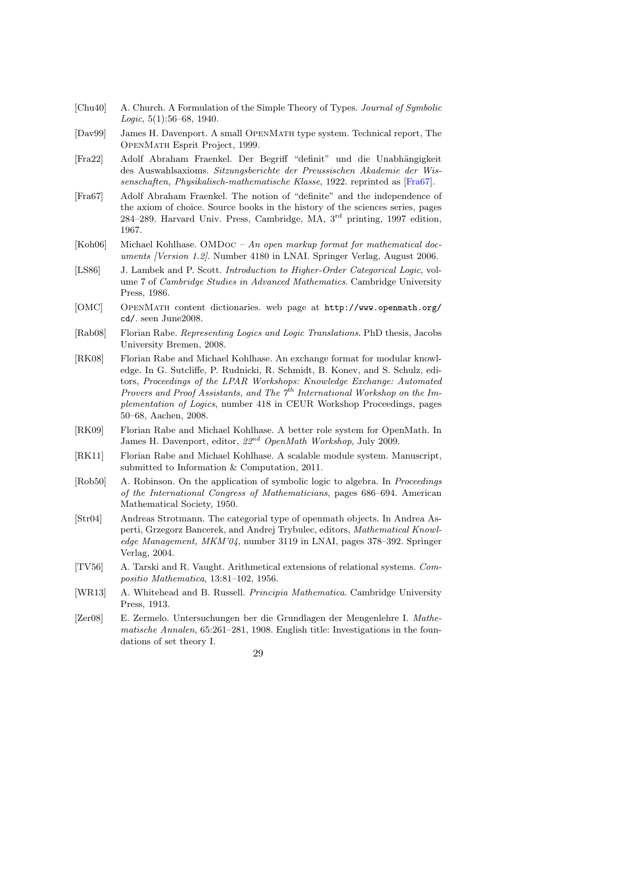- <span id="page-28-3"></span>[Chu40] A. Church. A Formulation of the Simple Theory of Types. Journal of Symbolic Logic, 5(1):56–68, 1940.
- <span id="page-28-7"></span>[Dav99] James H. Davenport. A small OpenMath type system. Technical report, The OpenMath Esprit Project, 1999.
- <span id="page-28-13"></span>[Fra22] Adolf Abraham Fraenkel. Der Begriff "definit" und die Unabh¨angigkeit des Auswahlsaxioms. Sitzungsberichte der Preussischen Akademie der Wissenschaften, Physikalisch-mathematische Klasse, 1922. reprinted as [\[Fra67\]](#page-28-15).
- <span id="page-28-15"></span>[Fra67] Adolf Abraham Fraenkel. The notion of "definite" and the independence of the axiom of choice. Source books in the history of the sciences series, pages 284–289. Harvard Univ. Press, Cambridge, MA, 3rd printing, 1997 edition, 1967.
- <span id="page-28-14"></span>[Koh06] Michael Kohlhase. OMDoc – An open markup format for mathematical documents [Version 1.2]. Number 4180 in LNAI. Springer Verlag, August 2006.
- <span id="page-28-4"></span>[LS86] J. Lambek and P. Scott. Introduction to Higher-Order Categorical Logic, volume 7 of Cambridge Studies in Advanced Mathematics. Cambridge University Press, 1986.
- <span id="page-28-0"></span>[OMC] OpenMath content dictionaries. web page at [http://www.openmath.org/](http://www.openmath.org/cd/) [cd/](http://www.openmath.org/cd/). seen June2008.
- <span id="page-28-9"></span>[Rab08] Florian Rabe. Representing Logics and Logic Translations. PhD thesis, Jacobs University Bremen, 2008.
- <span id="page-28-10"></span>[RK08] Florian Rabe and Michael Kohlhase. An exchange format for modular knowledge. In G. Sutcliffe, P. Rudnicki, R. Schmidt, B. Konev, and S. Schulz, editors, Proceedings of the LPAR Workshops: Knowledge Exchange: Automated Provers and Proof Assistants, and The  $7^{th}$  International Workshop on the Implementation of Logics, number 418 in CEUR Workshop Proceedings, pages 50–68, Aachen, 2008.
- <span id="page-28-6"></span>[RK09] Florian Rabe and Michael Kohlhase. A better role system for OpenMath. In James H. Davenport, editor,  $22^{nd}$  OpenMath Workshop, July 2009.
- <span id="page-28-11"></span>[RK11] Florian Rabe and Michael Kohlhase. A scalable module system. Manuscript, submitted to Information & Computation, 2011.
- <span id="page-28-2"></span>[Rob50] A. Robinson. On the application of symbolic logic to algebra. In Proceedings of the International Congress of Mathematicians, pages 686–694. American Mathematical Society, 1950.
- <span id="page-28-8"></span>[Str04] Andreas Strotmann. The categorial type of openmath objects. In Andrea Asperti, Grzegorz Bancerek, and Andrej Trybulec, editors, Mathematical Knowledge Management, MKM'04, number 3119 in LNAI, pages 378–392. Springer Verlag, 2004.
- <span id="page-28-1"></span>[TV56] A. Tarski and R. Vaught. Arithmetical extensions of relational systems. Compositio Mathematica, 13:81–102, 1956.
- <span id="page-28-5"></span>[WR13] A. Whitehead and B. Russell. Principia Mathematica. Cambridge University Press, 1913.
- <span id="page-28-12"></span>[Zer08] E. Zermelo. Untersuchungen ber die Grundlagen der Mengenlehre I. Mathematische Annalen, 65:261–281, 1908. English title: Investigations in the foundations of set theory I.